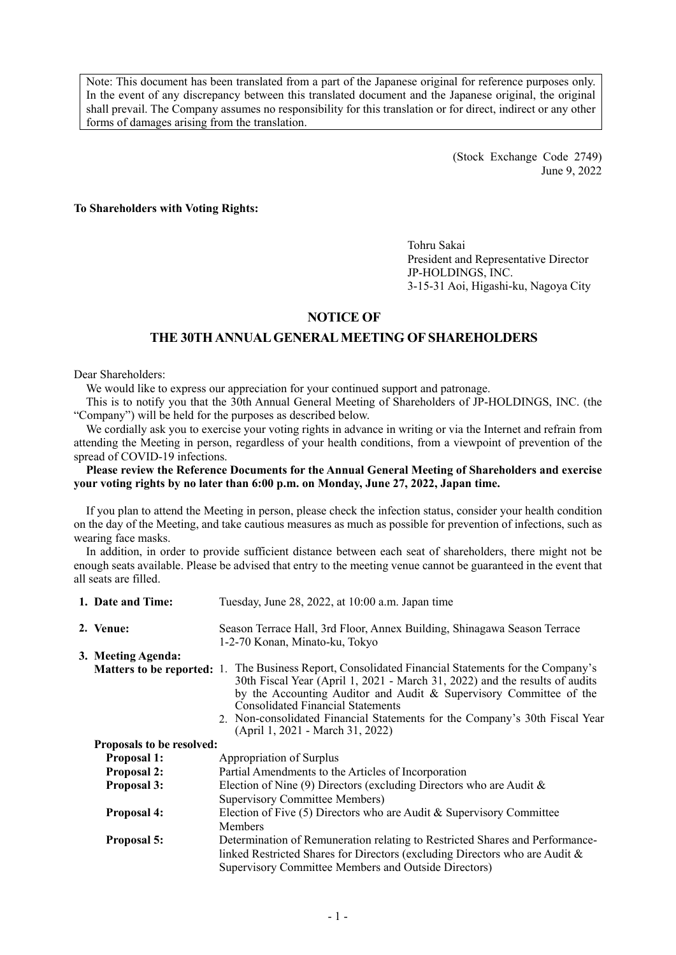Note: This document has been translated from a part of the Japanese original for reference purposes only. In the event of any discrepancy between this translated document and the Japanese original, the original shall prevail. The Company assumes no responsibility for this translation or for direct, indirect or any other forms of damages arising from the translation.

> (Stock Exchange Code 2749) June 9, 2022

**To Shareholders with Voting Rights:** 

Tohru Sakai President and Representative Director JP-HOLDINGS, INC. 3-15-31 Aoi, Higashi-ku, Nagoya City

# **NOTICE OF**

# **THE 30TH ANNUAL GENERAL MEETING OF SHAREHOLDERS**

Dear Shareholders:

We would like to express our appreciation for your continued support and patronage.

This is to notify you that the 30th Annual General Meeting of Shareholders of JP-HOLDINGS, INC. (the "Company") will be held for the purposes as described below.

We cordially ask you to exercise your voting rights in advance in writing or via the Internet and refrain from attending the Meeting in person, regardless of your health conditions, from a viewpoint of prevention of the spread of COVID-19 infections.

### **Please review the Reference Documents for the Annual General Meeting of Shareholders and exercise your voting rights by no later than 6:00 p.m. on Monday, June 27, 2022, Japan time.**

If you plan to attend the Meeting in person, please check the infection status, consider your health condition on the day of the Meeting, and take cautious measures as much as possible for prevention of infections, such as wearing face masks.

In addition, in order to provide sufficient distance between each seat of shareholders, there might not be enough seats available. Please be advised that entry to the meeting venue cannot be guaranteed in the event that all seats are filled.

| 1. Date and Time:                | Tuesday, June 28, 2022, at 10:00 a.m. Japan time                                                                                                                                                                                                                                                                                                                                                                 |
|----------------------------------|------------------------------------------------------------------------------------------------------------------------------------------------------------------------------------------------------------------------------------------------------------------------------------------------------------------------------------------------------------------------------------------------------------------|
| 2. Venue:                        | Season Terrace Hall, 3rd Floor, Annex Building, Shinagawa Season Terrace<br>1-2-70 Konan, Minato-ku, Tokyo                                                                                                                                                                                                                                                                                                       |
| 3. Meeting Agenda:               |                                                                                                                                                                                                                                                                                                                                                                                                                  |
|                                  | Matters to be reported: 1. The Business Report, Consolidated Financial Statements for the Company's<br>30th Fiscal Year (April 1, 2021 - March 31, 2022) and the results of audits<br>by the Accounting Auditor and Audit & Supervisory Committee of the<br>Consolidated Financial Statements<br>2. Non-consolidated Financial Statements for the Company's 30th Fiscal Year<br>(April 1, 2021 - March 31, 2022) |
| <b>Proposals to be resolved:</b> |                                                                                                                                                                                                                                                                                                                                                                                                                  |
| <b>Proposal 1:</b>               | Appropriation of Surplus                                                                                                                                                                                                                                                                                                                                                                                         |
| <b>Proposal 2:</b>               | Partial Amendments to the Articles of Incorporation                                                                                                                                                                                                                                                                                                                                                              |
| <b>Proposal 3:</b>               | Election of Nine (9) Directors (excluding Directors who are Audit $\&$<br><b>Supervisory Committee Members)</b>                                                                                                                                                                                                                                                                                                  |
| <b>Proposal 4:</b>               | Election of Five $(5)$ Directors who are Audit & Supervisory Committee<br><b>Members</b>                                                                                                                                                                                                                                                                                                                         |
| Proposal 5:                      | Determination of Remuneration relating to Restricted Shares and Performance-<br>linked Restricted Shares for Directors (excluding Directors who are Audit &<br>Supervisory Committee Members and Outside Directors)                                                                                                                                                                                              |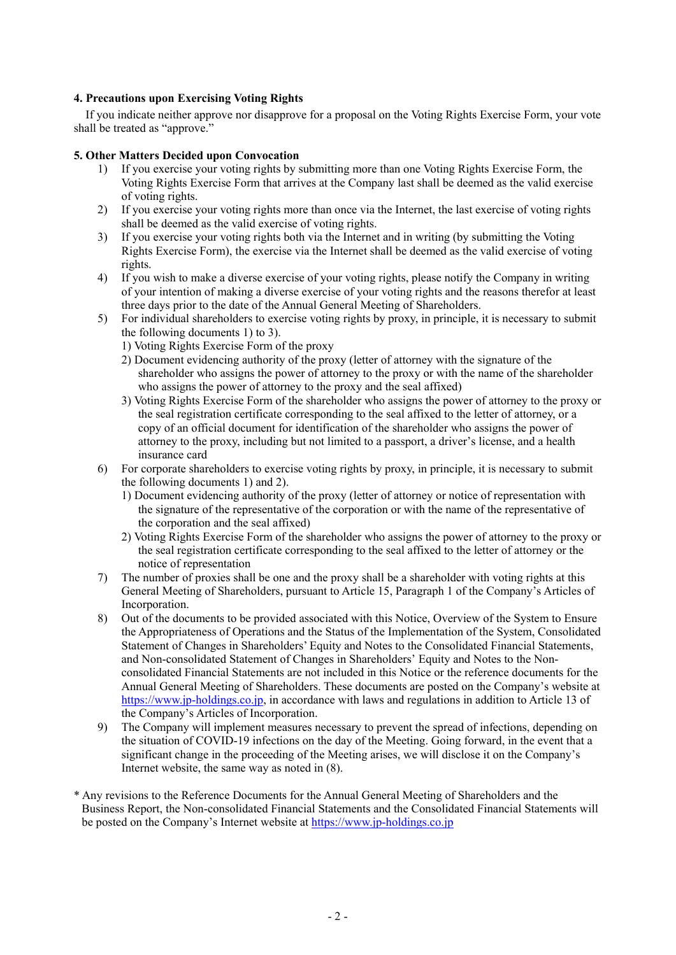### **4. Precautions upon Exercising Voting Rights**

If you indicate neither approve nor disapprove for a proposal on the Voting Rights Exercise Form, your vote shall be treated as "approve."

### **5. Other Matters Decided upon Convocation**

- 1) If you exercise your voting rights by submitting more than one Voting Rights Exercise Form, the Voting Rights Exercise Form that arrives at the Company last shall be deemed as the valid exercise of voting rights.
- 2) If you exercise your voting rights more than once via the Internet, the last exercise of voting rights shall be deemed as the valid exercise of voting rights.
- 3) If you exercise your voting rights both via the Internet and in writing (by submitting the Voting Rights Exercise Form), the exercise via the Internet shall be deemed as the valid exercise of voting rights.
- 4) If you wish to make a diverse exercise of your voting rights, please notify the Company in writing of your intention of making a diverse exercise of your voting rights and the reasons therefor at least three days prior to the date of the Annual General Meeting of Shareholders.
- 5) For individual shareholders to exercise voting rights by proxy, in principle, it is necessary to submit the following documents 1) to 3).
	- 1) Voting Rights Exercise Form of the proxy
	- 2) Document evidencing authority of the proxy (letter of attorney with the signature of the shareholder who assigns the power of attorney to the proxy or with the name of the shareholder who assigns the power of attorney to the proxy and the seal affixed)
	- 3) Voting Rights Exercise Form of the shareholder who assigns the power of attorney to the proxy or the seal registration certificate corresponding to the seal affixed to the letter of attorney, or a copy of an official document for identification of the shareholder who assigns the power of attorney to the proxy, including but not limited to a passport, a driver's license, and a health insurance card
- 6) For corporate shareholders to exercise voting rights by proxy, in principle, it is necessary to submit the following documents 1) and 2).
	- 1) Document evidencing authority of the proxy (letter of attorney or notice of representation with the signature of the representative of the corporation or with the name of the representative of the corporation and the seal affixed)
	- 2) Voting Rights Exercise Form of the shareholder who assigns the power of attorney to the proxy or the seal registration certificate corresponding to the seal affixed to the letter of attorney or the notice of representation
- 7) The number of proxies shall be one and the proxy shall be a shareholder with voting rights at this General Meeting of Shareholders, pursuant to Article 15, Paragraph 1 of the Company's Articles of Incorporation.
- 8) Out of the documents to be provided associated with this Notice, Overview of the System to Ensure the Appropriateness of Operations and the Status of the Implementation of the System, Consolidated Statement of Changes in Shareholders' Equity and Notes to the Consolidated Financial Statements, and Non-consolidated Statement of Changes in Shareholders' Equity and Notes to the Nonconsolidated Financial Statements are not included in this Notice or the reference documents for the Annual General Meeting of Shareholders. These documents are posted on the Company's website at https://www.jp-holdings.co.jp, in accordance with laws and regulations in addition to Article 13 of the Company's Articles of Incorporation.
- 9) The Company will implement measures necessary to prevent the spread of infections, depending on the situation of COVID-19 infections on the day of the Meeting. Going forward, in the event that a significant change in the proceeding of the Meeting arises, we will disclose it on the Company's Internet website, the same way as noted in (8).
- \* Any revisions to the Reference Documents for the Annual General Meeting of Shareholders and the Business Report, the Non-consolidated Financial Statements and the Consolidated Financial Statements will be posted on the Company's Internet website at https://www.jp-holdings.co.jp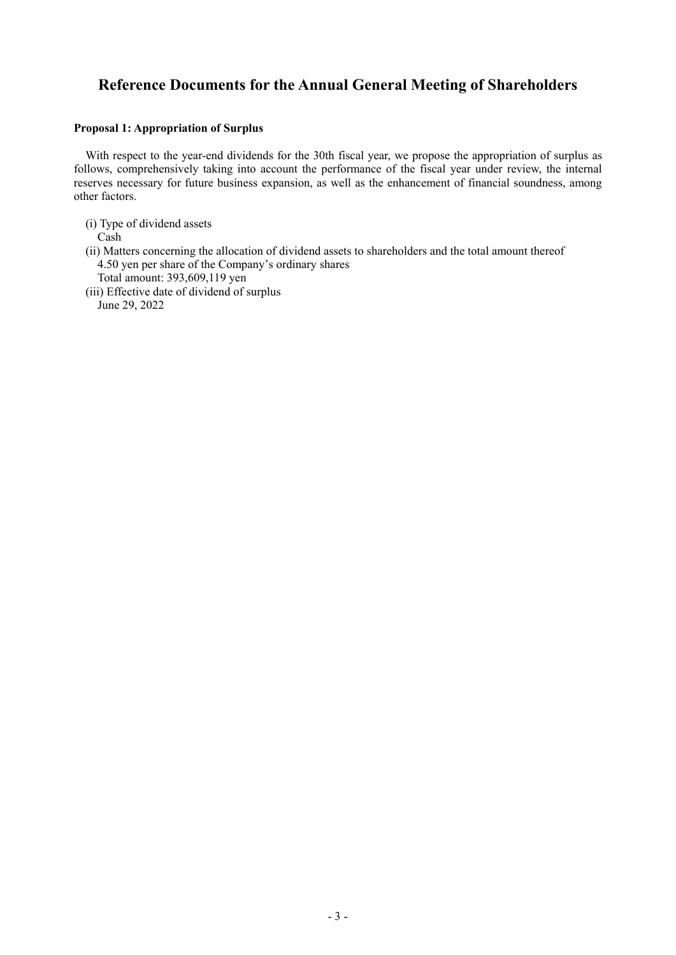# **Reference Documents for the Annual General Meeting of Shareholders**

### **Proposal 1: Appropriation of Surplus**

With respect to the year-end dividends for the 30th fiscal year, we propose the appropriation of surplus as follows, comprehensively taking into account the performance of the fiscal year under review, the internal reserves necessary for future business expansion, as well as the enhancement of financial soundness, among other factors.

- (i) Type of dividend assets Cash (ii) Matters concerning the allocation of dividend assets to shareholders and the total amount thereof 4.50 yen per share of the Company's ordinary shares
	- Total amount: 393,609,119 yen
- (iii) Effective date of dividend of surplus

June 29, 2022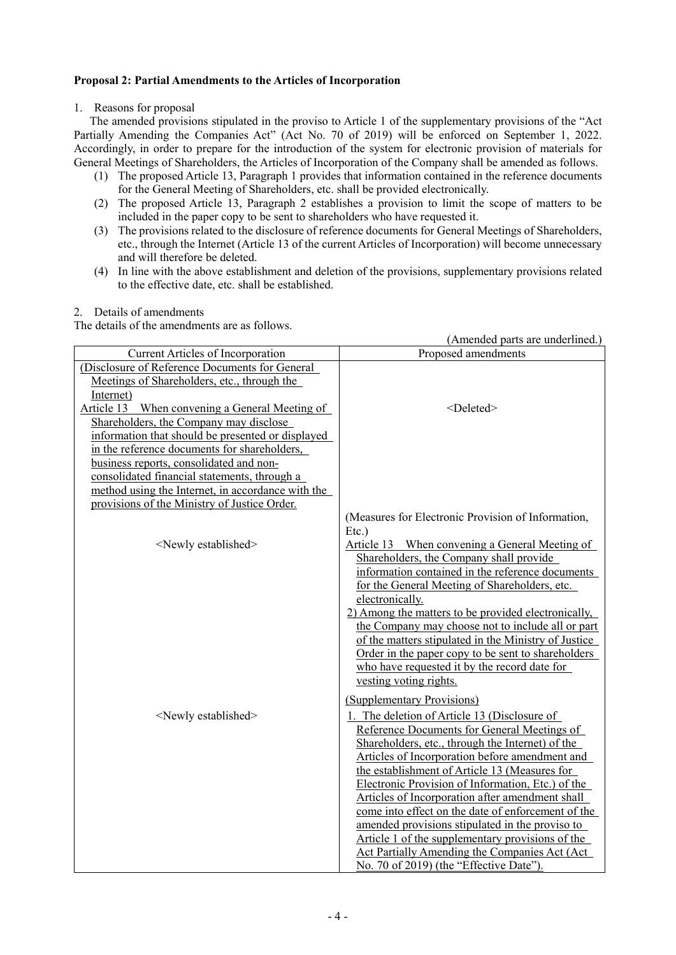# **Proposal 2: Partial Amendments to the Articles of Incorporation**

### 1. Reasons for proposal

The amended provisions stipulated in the proviso to Article 1 of the supplementary provisions of the "Act Partially Amending the Companies Act" (Act No. 70 of 2019) will be enforced on September 1, 2022. Accordingly, in order to prepare for the introduction of the system for electronic provision of materials for General Meetings of Shareholders, the Articles of Incorporation of the Company shall be amended as follows.

- (1) The proposed Article 13, Paragraph 1 provides that information contained in the reference documents for the General Meeting of Shareholders, etc. shall be provided electronically.
- (2) The proposed Article 13, Paragraph 2 establishes a provision to limit the scope of matters to be included in the paper copy to be sent to shareholders who have requested it.
- (3) The provisions related to the disclosure of reference documents for General Meetings of Shareholders, etc., through the Internet (Article 13 of the current Articles of Incorporation) will become unnecessary and will therefore be deleted.
- (4) In line with the above establishment and deletion of the provisions, supplementary provisions related to the effective date, etc. shall be established.

### 2. Details of amendments

The details of the amendments are as follows.

|                                                                                                                                                                                                                                                                                                                                             | (Amended parts are underlined.)                                                                                                                                                                                                                                                                                                                                                                                                                                                                                                                                                                                      |
|---------------------------------------------------------------------------------------------------------------------------------------------------------------------------------------------------------------------------------------------------------------------------------------------------------------------------------------------|----------------------------------------------------------------------------------------------------------------------------------------------------------------------------------------------------------------------------------------------------------------------------------------------------------------------------------------------------------------------------------------------------------------------------------------------------------------------------------------------------------------------------------------------------------------------------------------------------------------------|
| Current Articles of Incorporation                                                                                                                                                                                                                                                                                                           | Proposed amendments                                                                                                                                                                                                                                                                                                                                                                                                                                                                                                                                                                                                  |
| (Disclosure of Reference Documents for General<br>Meetings of Shareholders, etc., through the<br>Internet)<br>Article 13 When convening a General Meeting of                                                                                                                                                                                | <deleted></deleted>                                                                                                                                                                                                                                                                                                                                                                                                                                                                                                                                                                                                  |
| Shareholders, the Company may disclose<br>information that should be presented or displayed<br>in the reference documents for shareholders,<br>business reports, consolidated and non-<br>consolidated financial statements, through a<br>method using the Internet, in accordance with the<br>provisions of the Ministry of Justice Order. | (Measures for Electronic Provision of Information,                                                                                                                                                                                                                                                                                                                                                                                                                                                                                                                                                                   |
| <newly established=""></newly>                                                                                                                                                                                                                                                                                                              | $Etc.$ )<br>Article 13 When convening a General Meeting of<br>Shareholders, the Company shall provide<br>information contained in the reference documents<br>for the General Meeting of Shareholders, etc.<br>electronically.<br>2) Among the matters to be provided electronically,<br>the Company may choose not to include all or part<br>of the matters stipulated in the Ministry of Justice<br>Order in the paper copy to be sent to shareholders<br>who have requested it by the record date for<br>vesting voting rights.<br>(Supplementary Provisions)                                                      |
| <newly established=""></newly>                                                                                                                                                                                                                                                                                                              | 1. The deletion of Article 13 (Disclosure of<br>Reference Documents for General Meetings of<br>Shareholders, etc., through the Internet) of the<br>Articles of Incorporation before amendment and<br>the establishment of Article 13 (Measures for<br>Electronic Provision of Information, Etc.) of the<br>Articles of Incorporation after amendment shall<br>come into effect on the date of enforcement of the<br>amended provisions stipulated in the proviso to<br>Article 1 of the supplementary provisions of the<br>Act Partially Amending the Companies Act (Act)<br>No. 70 of 2019) (the "Effective Date"). |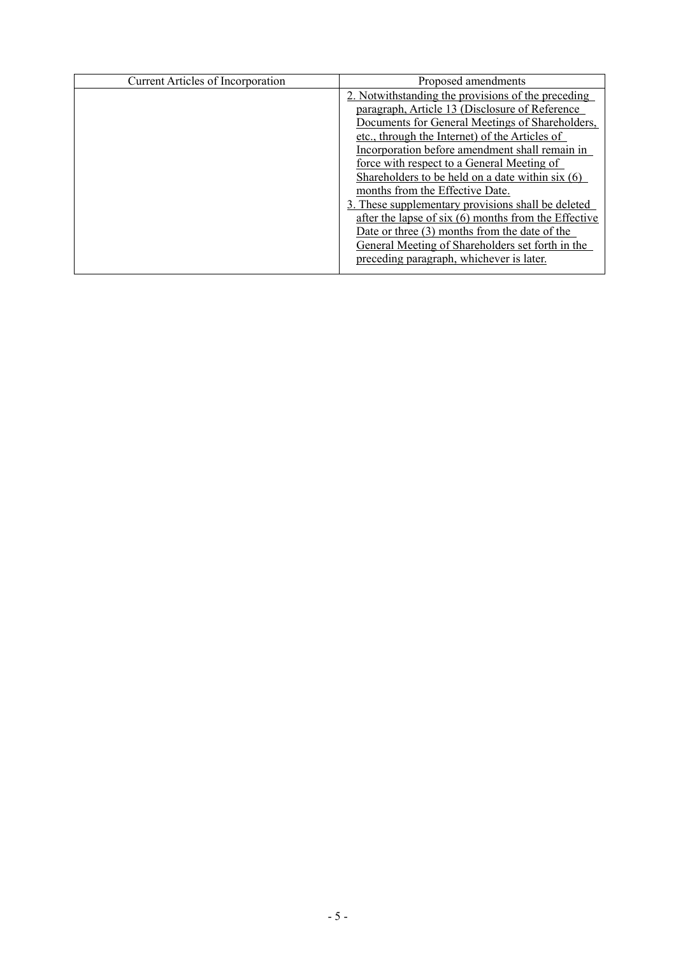| <b>Current Articles of Incorporation</b> | Proposed amendments                                    |
|------------------------------------------|--------------------------------------------------------|
|                                          | 2. Notwithstanding the provisions of the preceding     |
|                                          | paragraph, Article 13 (Disclosure of Reference         |
|                                          | Documents for General Meetings of Shareholders,        |
|                                          | etc., through the Internet) of the Articles of         |
|                                          | Incorporation before amendment shall remain in         |
|                                          | force with respect to a General Meeting of             |
|                                          | Shareholders to be held on a date within $s$ ix $(6)$  |
|                                          | months from the Effective Date.                        |
|                                          | 3. These supplementary provisions shall be deleted     |
|                                          | after the lapse of six $(6)$ months from the Effective |
|                                          | Date or three $(3)$ months from the date of the        |
|                                          | General Meeting of Shareholders set forth in the       |
|                                          | preceding paragraph, whichever is later.               |
|                                          |                                                        |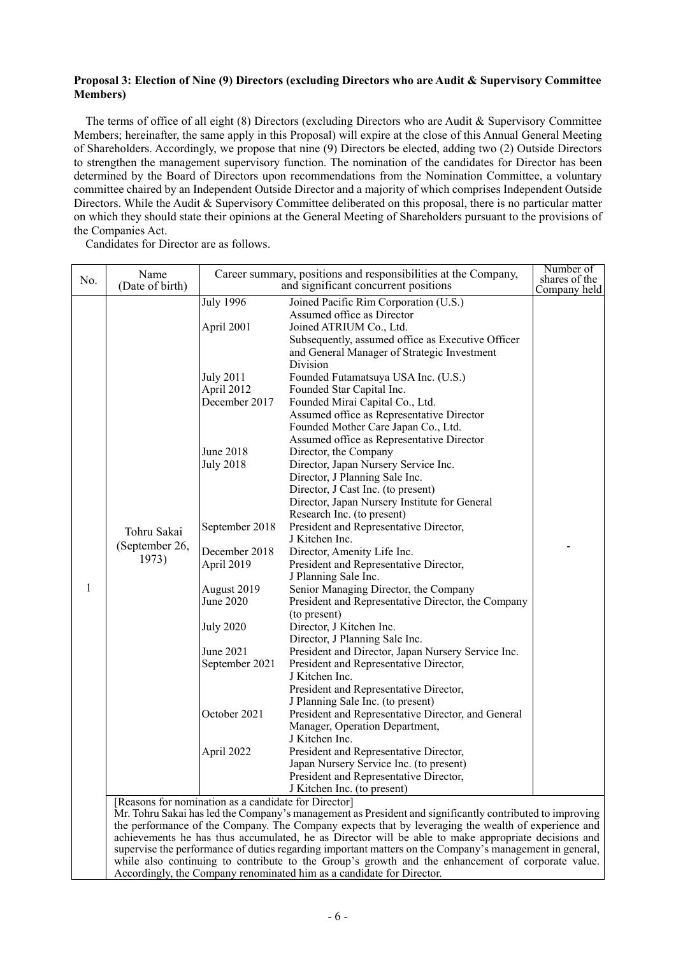### **Proposal 3: Election of Nine (9) Directors (excluding Directors who are Audit & Supervisory Committee Members)**

The terms of office of all eight (8) Directors (excluding Directors who are Audit & Supervisory Committee Members; hereinafter, the same apply in this Proposal) will expire at the close of this Annual General Meeting of Shareholders. Accordingly, we propose that nine (9) Directors be elected, adding two (2) Outside Directors to strengthen the management supervisory function. The nomination of the candidates for Director has been determined by the Board of Directors upon recommendations from the Nomination Committee, a voluntary committee chaired by an Independent Outside Director and a majority of which comprises Independent Outside Directors. While the Audit & Supervisory Committee deliberated on this proposal, there is no particular matter on which they should state their opinions at the General Meeting of Shareholders pursuant to the provisions of the Companies Act.

Candidates for Director are as follows.

| No. | Name<br>(Date of birth)                |                                                           | Career summary, positions and responsibilities at the Company,<br>and significant concurrent positions                                                                                                                                                                                                                                                                                                                                                                                                                                 | Number of<br>shares of the<br>Company held |
|-----|----------------------------------------|-----------------------------------------------------------|----------------------------------------------------------------------------------------------------------------------------------------------------------------------------------------------------------------------------------------------------------------------------------------------------------------------------------------------------------------------------------------------------------------------------------------------------------------------------------------------------------------------------------------|--------------------------------------------|
|     |                                        | July 1996<br>April 2001<br><b>July 2011</b><br>April 2012 | Joined Pacific Rim Corporation (U.S.)<br>Assumed office as Director<br>Joined ATRIUM Co., Ltd.<br>Subsequently, assumed office as Executive Officer<br>and General Manager of Strategic Investment<br>Division<br>Founded Futamatsuya USA Inc. (U.S.)<br>Founded Star Capital Inc.                                                                                                                                                                                                                                                     |                                            |
|     |                                        | December 2017<br>June 2018<br><b>July 2018</b>            | Founded Mirai Capital Co., Ltd.<br>Assumed office as Representative Director<br>Founded Mother Care Japan Co., Ltd.<br>Assumed office as Representative Director<br>Director, the Company<br>Director, Japan Nursery Service Inc.<br>Director, J Planning Sale Inc.<br>Director, J Cast Inc. (to present)                                                                                                                                                                                                                              |                                            |
|     | Tohru Sakai<br>(September 26,<br>1973) | September 2018<br>December 2018<br>April 2019             | Director, Japan Nursery Institute for General<br>Research Inc. (to present)<br>President and Representative Director,<br>J Kitchen Inc.<br>Director, Amenity Life Inc.<br>President and Representative Director,                                                                                                                                                                                                                                                                                                                       |                                            |
| 1   |                                        | August 2019<br>June 2020                                  | J Planning Sale Inc.<br>Senior Managing Director, the Company<br>President and Representative Director, the Company<br>(to present)                                                                                                                                                                                                                                                                                                                                                                                                    |                                            |
|     |                                        | <b>July 2020</b><br>June 2021<br>September 2021           | Director, J Kitchen Inc.<br>Director, J Planning Sale Inc.<br>President and Director, Japan Nursery Service Inc.<br>President and Representative Director,<br>J Kitchen Inc.<br>President and Representative Director,                                                                                                                                                                                                                                                                                                                 |                                            |
|     |                                        | October 2021                                              | J Planning Sale Inc. (to present)<br>President and Representative Director, and General<br>Manager, Operation Department,<br>J Kitchen Inc.                                                                                                                                                                                                                                                                                                                                                                                            |                                            |
|     |                                        | April 2022                                                | President and Representative Director,<br>Japan Nursery Service Inc. (to present)<br>President and Representative Director,<br>J Kitchen Inc. (to present)                                                                                                                                                                                                                                                                                                                                                                             |                                            |
|     |                                        | [Reasons for nomination as a candidate for Director]      | Mr. Tohru Sakai has led the Company's management as President and significantly contributed to improving<br>the performance of the Company. The Company expects that by leveraging the wealth of experience and<br>achievements he has thus accumulated, he as Director will be able to make appropriate decisions and<br>supervise the performance of duties regarding important matters on the Company's management in general,<br>while also continuing to contribute to the Group's growth and the enhancement of corporate value. |                                            |

Accordingly, the Company renominated him as a candidate for Director.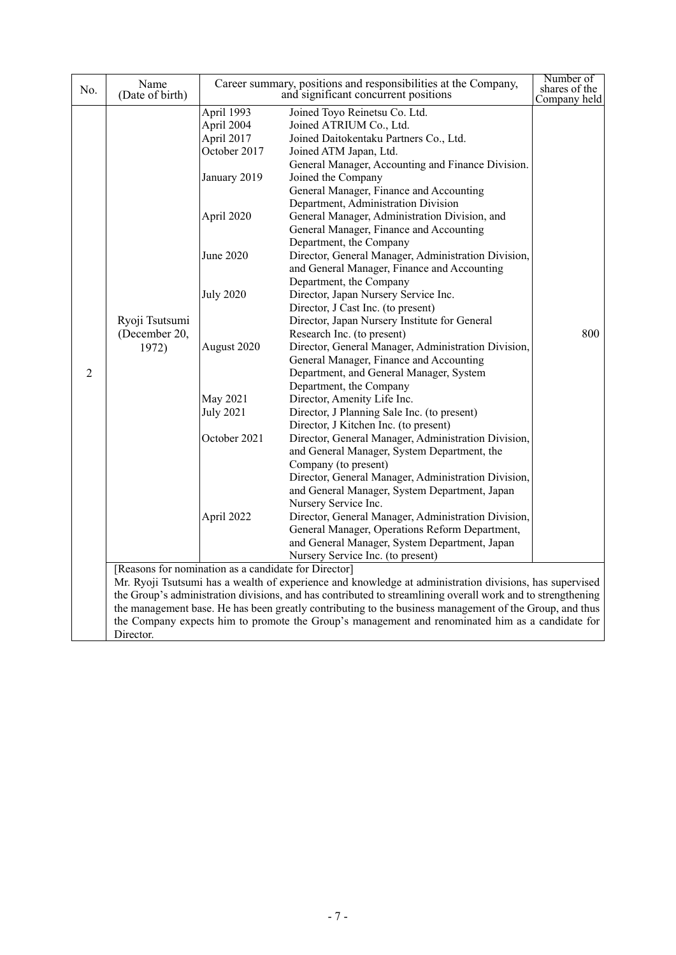| No.            | Name<br>(Date of birth)                                                                                                                                                                                                                                                                                                                                                                                                                                                                       |                                                                                                                                                                                                    | Career summary, positions and responsibilities at the Company,<br>and significant concurrent positions                                                                                                                                                                                                                                                                                                                                                                                                                                                                                                                                                                                                                                                                                                                                                                                                                                                                                                                                                                                                                                                                                                                                                                                                                             | Number of<br>shares of the |  |
|----------------|-----------------------------------------------------------------------------------------------------------------------------------------------------------------------------------------------------------------------------------------------------------------------------------------------------------------------------------------------------------------------------------------------------------------------------------------------------------------------------------------------|----------------------------------------------------------------------------------------------------------------------------------------------------------------------------------------------------|------------------------------------------------------------------------------------------------------------------------------------------------------------------------------------------------------------------------------------------------------------------------------------------------------------------------------------------------------------------------------------------------------------------------------------------------------------------------------------------------------------------------------------------------------------------------------------------------------------------------------------------------------------------------------------------------------------------------------------------------------------------------------------------------------------------------------------------------------------------------------------------------------------------------------------------------------------------------------------------------------------------------------------------------------------------------------------------------------------------------------------------------------------------------------------------------------------------------------------------------------------------------------------------------------------------------------------|----------------------------|--|
| $\overline{2}$ | Ryoji Tsutsumi<br>(December 20,<br>1972)                                                                                                                                                                                                                                                                                                                                                                                                                                                      | April 1993<br>April 2004<br>April 2017<br>October 2017<br>January 2019<br>April 2020<br>June 2020<br><b>July 2020</b><br>August 2020<br>May 2021<br><b>July 2021</b><br>October 2021<br>April 2022 | Joined Toyo Reinetsu Co. Ltd.<br>Joined ATRIUM Co., Ltd.<br>Joined Daitokentaku Partners Co., Ltd.<br>Joined ATM Japan, Ltd.<br>General Manager, Accounting and Finance Division.<br>Joined the Company<br>General Manager, Finance and Accounting<br>Department, Administration Division<br>General Manager, Administration Division, and<br>General Manager, Finance and Accounting<br>Department, the Company<br>Director, General Manager, Administration Division,<br>and General Manager, Finance and Accounting<br>Department, the Company<br>Director, Japan Nursery Service Inc.<br>Director, J Cast Inc. (to present)<br>Director, Japan Nursery Institute for General<br>Research Inc. (to present)<br>Director, General Manager, Administration Division,<br>General Manager, Finance and Accounting<br>Department, and General Manager, System<br>Department, the Company<br>Director, Amenity Life Inc.<br>Director, J Planning Sale Inc. (to present)<br>Director, J Kitchen Inc. (to present)<br>Director, General Manager, Administration Division,<br>and General Manager, System Department, the<br>Company (to present)<br>Director, General Manager, Administration Division,<br>and General Manager, System Department, Japan<br>Nursery Service Inc.<br>Director, General Manager, Administration Division, | Company held<br>800        |  |
|                |                                                                                                                                                                                                                                                                                                                                                                                                                                                                                               |                                                                                                                                                                                                    | General Manager, Operations Reform Department,<br>and General Manager, System Department, Japan<br>Nursery Service Inc. (to present)                                                                                                                                                                                                                                                                                                                                                                                                                                                                                                                                                                                                                                                                                                                                                                                                                                                                                                                                                                                                                                                                                                                                                                                               |                            |  |
|                | [Reasons for nomination as a candidate for Director]<br>Mr. Ryoji Tsutsumi has a wealth of experience and knowledge at administration divisions, has supervised<br>the Group's administration divisions, and has contributed to streamlining overall work and to strengthening<br>the management base. He has been greatly contributing to the business management of the Group, and thus<br>the Company expects him to promote the Group's management and renominated him as a candidate for |                                                                                                                                                                                                    |                                                                                                                                                                                                                                                                                                                                                                                                                                                                                                                                                                                                                                                                                                                                                                                                                                                                                                                                                                                                                                                                                                                                                                                                                                                                                                                                    |                            |  |
|                | Director.                                                                                                                                                                                                                                                                                                                                                                                                                                                                                     |                                                                                                                                                                                                    |                                                                                                                                                                                                                                                                                                                                                                                                                                                                                                                                                                                                                                                                                                                                                                                                                                                                                                                                                                                                                                                                                                                                                                                                                                                                                                                                    |                            |  |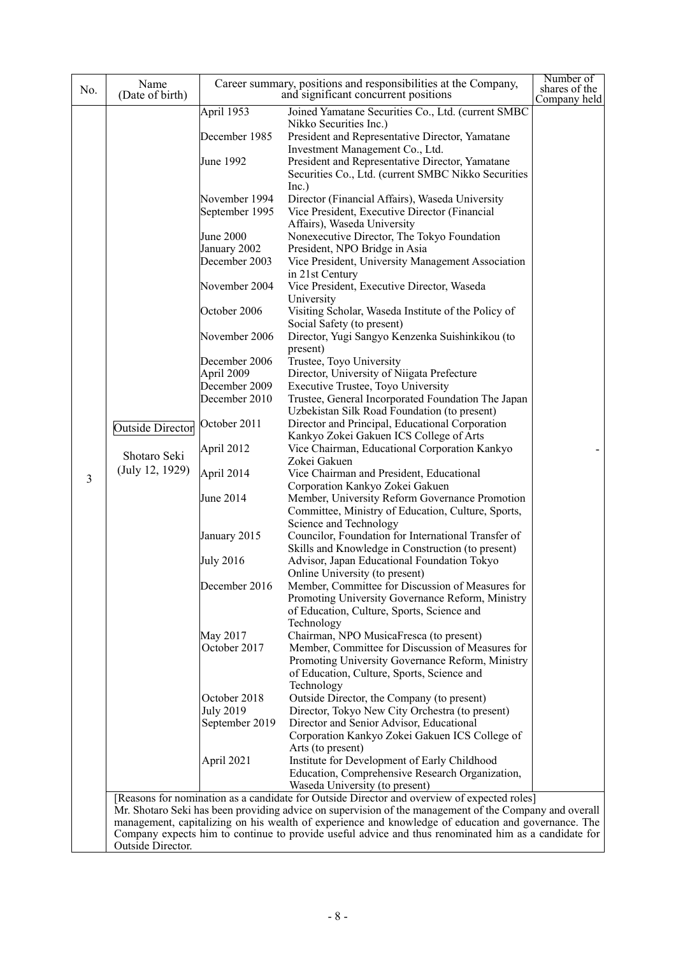| No. | Name                            |                  | Career summary, positions and responsibilities at the Company,                                         | Number of<br>shares of the |
|-----|---------------------------------|------------------|--------------------------------------------------------------------------------------------------------|----------------------------|
|     | (Date of birth)                 | April 1953       | and significant concurrent positions<br>Joined Yamatane Securities Co., Ltd. (current SMBC             | Company held               |
|     |                                 |                  | Nikko Securities Inc.)                                                                                 |                            |
|     |                                 | December 1985    | President and Representative Director, Yamatane                                                        |                            |
|     |                                 |                  | Investment Management Co., Ltd.                                                                        |                            |
|     |                                 | June 1992        | President and Representative Director, Yamatane                                                        |                            |
|     |                                 |                  | Securities Co., Ltd. (current SMBC Nikko Securities                                                    |                            |
|     |                                 |                  | Inc.)                                                                                                  |                            |
|     |                                 | November 1994    | Director (Financial Affairs), Waseda University                                                        |                            |
|     |                                 | September 1995   | Vice President, Executive Director (Financial                                                          |                            |
|     |                                 |                  | Affairs), Waseda University                                                                            |                            |
|     |                                 | June 2000        | Nonexecutive Director, The Tokyo Foundation                                                            |                            |
|     |                                 | January 2002     | President, NPO Bridge in Asia                                                                          |                            |
|     |                                 | December 2003    | Vice President, University Management Association                                                      |                            |
|     |                                 |                  | in 21st Century                                                                                        |                            |
|     |                                 | November 2004    | Vice President, Executive Director, Waseda                                                             |                            |
|     |                                 |                  | University                                                                                             |                            |
|     |                                 | October 2006     | Visiting Scholar, Waseda Institute of the Policy of                                                    |                            |
|     |                                 |                  | Social Safety (to present)                                                                             |                            |
|     |                                 | November 2006    | Director, Yugi Sangyo Kenzenka Suishinkikou (to                                                        |                            |
|     |                                 | December 2006    | present)<br>Trustee, Toyo University                                                                   |                            |
|     |                                 | April 2009       | Director, University of Niigata Prefecture                                                             |                            |
|     |                                 | December 2009    | Executive Trustee, Toyo University                                                                     |                            |
|     |                                 | December 2010    | Trustee, General Incorporated Foundation The Japan                                                     |                            |
|     |                                 |                  | Uzbekistan Silk Road Foundation (to present)                                                           |                            |
|     | <b>Outside Director</b>         | October 2011     | Director and Principal, Educational Corporation                                                        |                            |
|     | Shotaro Seki<br>(July 12, 1929) |                  | Kankyo Zokei Gakuen ICS College of Arts                                                                |                            |
|     |                                 | April 2012       | Vice Chairman, Educational Corporation Kankyo                                                          |                            |
|     |                                 |                  | Zokei Gakuen                                                                                           |                            |
| 3   |                                 | April 2014       | Vice Chairman and President, Educational                                                               |                            |
|     |                                 | June 2014        | Corporation Kankyo Zokei Gakuen<br>Member, University Reform Governance Promotion                      |                            |
|     |                                 |                  | Committee, Ministry of Education, Culture, Sports,                                                     |                            |
|     |                                 |                  | Science and Technology                                                                                 |                            |
|     |                                 | January 2015     | Councilor, Foundation for International Transfer of                                                    |                            |
|     |                                 |                  | Skills and Knowledge in Construction (to present)                                                      |                            |
|     |                                 | <b>July 2016</b> | Advisor, Japan Educational Foundation Tokyo                                                            |                            |
|     |                                 |                  | Online University (to present)                                                                         |                            |
|     |                                 | December 2016    | Member, Committee for Discussion of Measures for                                                       |                            |
|     |                                 |                  | Promoting University Governance Reform, Ministry                                                       |                            |
|     |                                 |                  | of Education, Culture, Sports, Science and                                                             |                            |
|     |                                 | May 2017         | Technology<br>Chairman, NPO MusicaFresca (to present)                                                  |                            |
|     |                                 | October 2017     | Member, Committee for Discussion of Measures for                                                       |                            |
|     |                                 |                  | Promoting University Governance Reform, Ministry                                                       |                            |
|     |                                 |                  | of Education, Culture, Sports, Science and                                                             |                            |
|     |                                 |                  | Technology                                                                                             |                            |
|     |                                 | October 2018     | Outside Director, the Company (to present)                                                             |                            |
|     |                                 | <b>July 2019</b> | Director, Tokyo New City Orchestra (to present)                                                        |                            |
|     |                                 | September 2019   | Director and Senior Advisor, Educational                                                               |                            |
|     |                                 |                  | Corporation Kankyo Zokei Gakuen ICS College of                                                         |                            |
|     |                                 | April 2021       | Arts (to present)<br>Institute for Development of Early Childhood                                      |                            |
|     |                                 |                  | Education, Comprehensive Research Organization,                                                        |                            |
|     |                                 |                  | Waseda University (to present)                                                                         |                            |
|     |                                 |                  | [Reasons for nomination as a candidate for Outside Director and overview of expected roles]            |                            |
|     |                                 |                  | Mr. Shotaro Seki has been providing advice on supervision of the management of the Company and overall |                            |
|     |                                 |                  | management, capitalizing on his wealth of experience and knowledge of education and governance. The    |                            |
|     |                                 |                  | Company expects him to continue to provide useful advice and thus renominated him as a candidate for   |                            |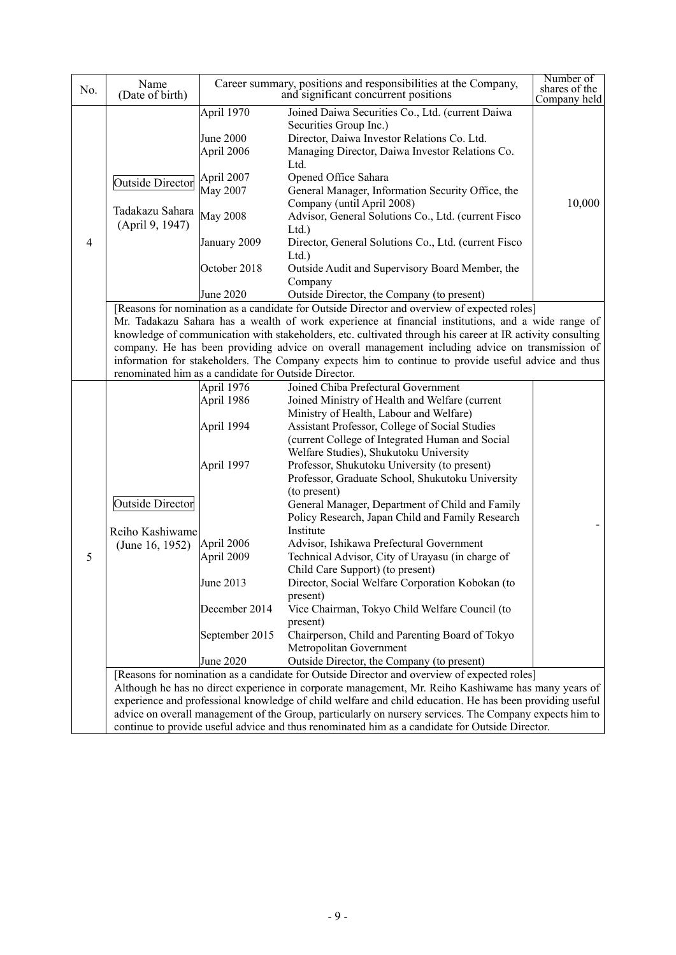| No.            | Name<br>(Date of birth)                                                                                                                                                                                                                                                                                                                                                                                                                                                                                                   |                                       | Career summary, positions and responsibilities at the Company,<br>and significant concurrent positions                                                                               | Number of<br>shares of the<br>Company held |  |  |
|----------------|---------------------------------------------------------------------------------------------------------------------------------------------------------------------------------------------------------------------------------------------------------------------------------------------------------------------------------------------------------------------------------------------------------------------------------------------------------------------------------------------------------------------------|---------------------------------------|--------------------------------------------------------------------------------------------------------------------------------------------------------------------------------------|--------------------------------------------|--|--|
|                |                                                                                                                                                                                                                                                                                                                                                                                                                                                                                                                           | April 1970<br>June 2000<br>April 2006 | Joined Daiwa Securities Co., Ltd. (current Daiwa<br>Securities Group Inc.)<br>Director, Daiwa Investor Relations Co. Ltd.<br>Managing Director, Daiwa Investor Relations Co.<br>Ltd. |                                            |  |  |
|                | <b>Outside Director</b><br>Tadakazu Sahara                                                                                                                                                                                                                                                                                                                                                                                                                                                                                | April 2007<br>May 2007                | Opened Office Sahara<br>General Manager, Information Security Office, the<br>Company (until April 2008)                                                                              | 10,000                                     |  |  |
|                | (April 9, 1947)                                                                                                                                                                                                                                                                                                                                                                                                                                                                                                           | <b>May 2008</b>                       | Advisor, General Solutions Co., Ltd. (current Fisco<br>Ltd.                                                                                                                          |                                            |  |  |
| $\overline{4}$ |                                                                                                                                                                                                                                                                                                                                                                                                                                                                                                                           | January 2009<br>October 2018          | Director, General Solutions Co., Ltd. (current Fisco<br>Ltd.<br>Outside Audit and Supervisory Board Member, the                                                                      |                                            |  |  |
|                |                                                                                                                                                                                                                                                                                                                                                                                                                                                                                                                           | June 2020                             | Company<br>Outside Director, the Company (to present)                                                                                                                                |                                            |  |  |
|                | [Reasons for nomination as a candidate for Outside Director and overview of expected roles]<br>Mr. Tadakazu Sahara has a wealth of work experience at financial institutions, and a wide range of<br>knowledge of communication with stakeholders, etc. cultivated through his career at IR activity consulting<br>company. He has been providing advice on overall management including advice on transmission of<br>information for stakeholders. The Company expects him to continue to provide useful advice and thus |                                       |                                                                                                                                                                                      |                                            |  |  |
|                | renominated him as a candidate for Outside Director.                                                                                                                                                                                                                                                                                                                                                                                                                                                                      | April $1976$                          | Joined Chiba Prefectural Government                                                                                                                                                  |                                            |  |  |
|                |                                                                                                                                                                                                                                                                                                                                                                                                                                                                                                                           | April 1986                            | Joined Ministry of Health and Welfare (current<br>Ministry of Health, Labour and Welfare)                                                                                            |                                            |  |  |
|                |                                                                                                                                                                                                                                                                                                                                                                                                                                                                                                                           | April 1994                            | Assistant Professor, College of Social Studies<br>(current College of Integrated Human and Social<br>Welfare Studies), Shukutoku University                                          |                                            |  |  |
|                |                                                                                                                                                                                                                                                                                                                                                                                                                                                                                                                           | April 1997                            | Professor, Shukutoku University (to present)<br>Professor, Graduate School, Shukutoku University<br>(to present)                                                                     |                                            |  |  |
|                | <b>Outside Director</b>                                                                                                                                                                                                                                                                                                                                                                                                                                                                                                   |                                       | General Manager, Department of Child and Family<br>Policy Research, Japan Child and Family Research                                                                                  |                                            |  |  |
| 5              | Reiho Kashiwame<br>(June 16, 1952)                                                                                                                                                                                                                                                                                                                                                                                                                                                                                        | April 2006<br>April 2009              | Institute<br>Advisor, Ishikawa Prefectural Government<br>Technical Advisor, City of Urayasu (in charge of<br>Child Care Support) (to present)                                        |                                            |  |  |
|                |                                                                                                                                                                                                                                                                                                                                                                                                                                                                                                                           | June 2013                             | Director, Social Welfare Corporation Kobokan (to<br>present)                                                                                                                         |                                            |  |  |
|                |                                                                                                                                                                                                                                                                                                                                                                                                                                                                                                                           | December 2014                         | Vice Chairman, Tokyo Child Welfare Council (to<br>present)                                                                                                                           |                                            |  |  |
|                |                                                                                                                                                                                                                                                                                                                                                                                                                                                                                                                           | September 2015                        | Chairperson, Child and Parenting Board of Tokyo<br>Metropolitan Government                                                                                                           |                                            |  |  |
|                |                                                                                                                                                                                                                                                                                                                                                                                                                                                                                                                           | June 2020                             | Outside Director, the Company (to present)                                                                                                                                           |                                            |  |  |
|                |                                                                                                                                                                                                                                                                                                                                                                                                                                                                                                                           |                                       | [Reasons for nomination as a candidate for Outside Director and overview of expected roles]                                                                                          |                                            |  |  |
|                |                                                                                                                                                                                                                                                                                                                                                                                                                                                                                                                           |                                       | Although he has no direct experience in corporate management, Mr. Reiho Kashiwame has many years of                                                                                  |                                            |  |  |
|                |                                                                                                                                                                                                                                                                                                                                                                                                                                                                                                                           |                                       | experience and professional knowledge of child welfare and child education. He has been providing useful                                                                             |                                            |  |  |
|                | advice on overall management of the Group, particularly on nursery services. The Company expects him to<br>continue to provide useful advice and thus renominated him as a candidate for Outside Director.                                                                                                                                                                                                                                                                                                                |                                       |                                                                                                                                                                                      |                                            |  |  |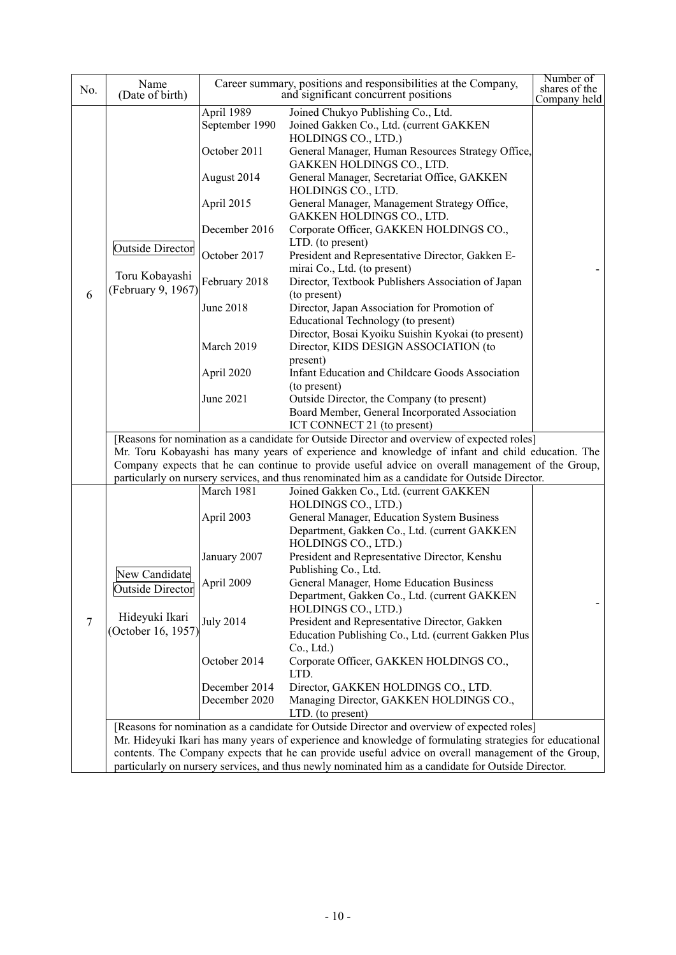| No.    | Name<br>(Date of birth)                                                                             |                  | Career summary, positions and responsibilities at the Company,<br>and significant concurrent positions                                                                                          | Number of<br>shares of the<br>Company held |
|--------|-----------------------------------------------------------------------------------------------------|------------------|-------------------------------------------------------------------------------------------------------------------------------------------------------------------------------------------------|--------------------------------------------|
|        |                                                                                                     | April 1989       | Joined Chukyo Publishing Co., Ltd.                                                                                                                                                              |                                            |
|        |                                                                                                     | September 1990   | Joined Gakken Co., Ltd. (current GAKKEN                                                                                                                                                         |                                            |
|        |                                                                                                     |                  | HOLDINGS CO., LTD.)                                                                                                                                                                             |                                            |
|        |                                                                                                     | October 2011     | General Manager, Human Resources Strategy Office,<br>GAKKEN HOLDINGS CO., LTD.                                                                                                                  |                                            |
|        |                                                                                                     | August 2014      | General Manager, Secretariat Office, GAKKEN<br>HOLDINGS CO., LTD.                                                                                                                               |                                            |
|        |                                                                                                     | April 2015       | General Manager, Management Strategy Office,<br>GAKKEN HOLDINGS CO., LTD.                                                                                                                       |                                            |
|        |                                                                                                     | December 2016    | Corporate Officer, GAKKEN HOLDINGS CO.,<br>LTD. (to present)                                                                                                                                    |                                            |
|        | <b>Outside Director</b>                                                                             | October 2017     | President and Representative Director, Gakken E-                                                                                                                                                |                                            |
|        | Toru Kobayashi<br>(February 9, 1967)                                                                | February 2018    | mirai Co., Ltd. (to present)<br>Director, Textbook Publishers Association of Japan                                                                                                              |                                            |
| 6      |                                                                                                     | June 2018        | (to present)<br>Director, Japan Association for Promotion of                                                                                                                                    |                                            |
|        |                                                                                                     |                  | Educational Technology (to present)<br>Director, Bosai Kyoiku Suishin Kyokai (to present)                                                                                                       |                                            |
|        |                                                                                                     | March 2019       | Director, KIDS DESIGN ASSOCIATION (to                                                                                                                                                           |                                            |
|        |                                                                                                     |                  | present)                                                                                                                                                                                        |                                            |
|        |                                                                                                     | April 2020       | Infant Education and Childcare Goods Association                                                                                                                                                |                                            |
|        |                                                                                                     |                  | (to present)                                                                                                                                                                                    |                                            |
|        |                                                                                                     | June 2021        | Outside Director, the Company (to present)                                                                                                                                                      |                                            |
|        |                                                                                                     |                  | Board Member, General Incorporated Association                                                                                                                                                  |                                            |
|        |                                                                                                     |                  | ICT CONNECT 21 (to present)                                                                                                                                                                     |                                            |
|        |                                                                                                     |                  | [Reasons for nomination as a candidate for Outside Director and overview of expected roles]<br>Mr. Toru Kobayashi has many years of experience and knowledge of infant and child education. The |                                            |
|        |                                                                                                     |                  | Company expects that he can continue to provide useful advice on overall management of the Group,                                                                                               |                                            |
|        |                                                                                                     |                  | particularly on nursery services, and thus renominated him as a candidate for Outside Director.                                                                                                 |                                            |
|        |                                                                                                     | March 1981       | Joined Gakken Co., Ltd. (current GAKKEN                                                                                                                                                         |                                            |
|        |                                                                                                     |                  | HOLDINGS CO., LTD.)                                                                                                                                                                             |                                            |
|        |                                                                                                     | April 2003       | General Manager, Education System Business                                                                                                                                                      |                                            |
|        |                                                                                                     |                  | Department, Gakken Co., Ltd. (current GAKKEN                                                                                                                                                    |                                            |
|        |                                                                                                     |                  | HOLDINGS CO., LTD.)                                                                                                                                                                             |                                            |
|        |                                                                                                     | January 2007     | President and Representative Director, Kenshu<br>Publishing Co., Ltd.                                                                                                                           |                                            |
|        | New Candidate                                                                                       | April 2009       | General Manager, Home Education Business                                                                                                                                                        |                                            |
|        | <b>Outside Director</b>                                                                             |                  | Department, Gakken Co., Ltd. (current GAKKEN                                                                                                                                                    |                                            |
|        |                                                                                                     |                  | HOLDINGS CO., LTD.)                                                                                                                                                                             |                                            |
| $\tau$ | Hideyuki Ikari                                                                                      | <b>July 2014</b> | President and Representative Director, Gakken                                                                                                                                                   |                                            |
|        | (October 16, 1957)                                                                                  |                  | Education Publishing Co., Ltd. (current Gakken Plus                                                                                                                                             |                                            |
|        |                                                                                                     |                  | Co., Ltd.)                                                                                                                                                                                      |                                            |
|        |                                                                                                     | October 2014     | Corporate Officer, GAKKEN HOLDINGS CO.,<br>LTD.                                                                                                                                                 |                                            |
|        |                                                                                                     | December 2014    | Director, GAKKEN HOLDINGS CO., LTD.                                                                                                                                                             |                                            |
|        |                                                                                                     | December 2020    | Managing Director, GAKKEN HOLDINGS CO.,                                                                                                                                                         |                                            |
|        |                                                                                                     |                  | LTD. (to present)                                                                                                                                                                               |                                            |
|        |                                                                                                     |                  | [Reasons for nomination as a candidate for Outside Director and overview of expected roles]                                                                                                     |                                            |
|        |                                                                                                     |                  | Mr. Hideyuki Ikari has many years of experience and knowledge of formulating strategies for educational                                                                                         |                                            |
|        |                                                                                                     |                  | contents. The Company expects that he can provide useful advice on overall management of the Group,                                                                                             |                                            |
|        | particularly on nursery services, and thus newly nominated him as a candidate for Outside Director. |                  |                                                                                                                                                                                                 |                                            |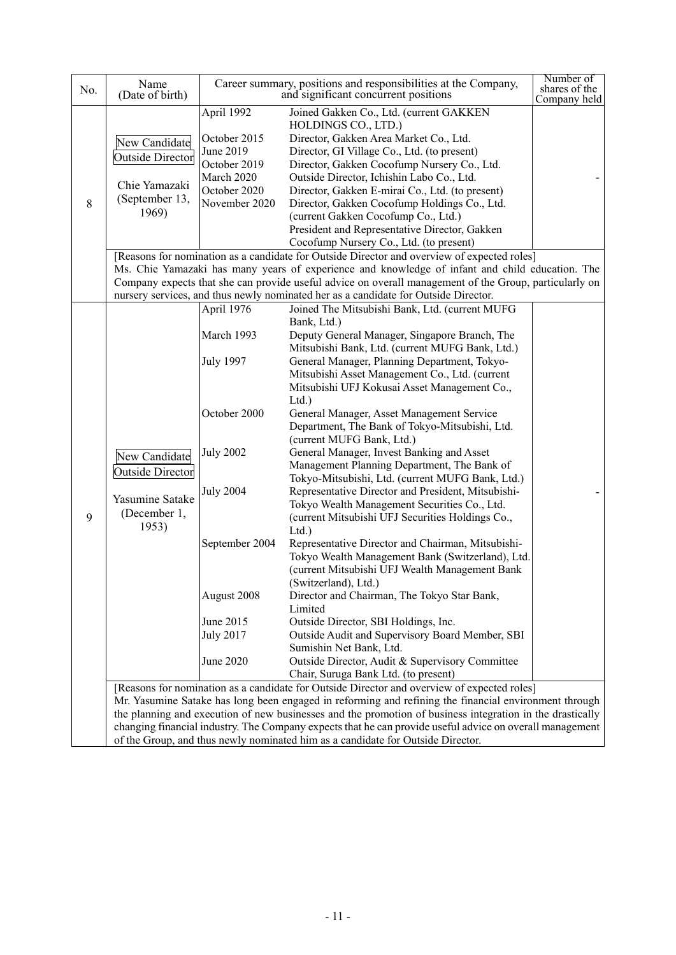| No. | Name<br>(Date of birth)                                                         |                  | Career summary, positions and responsibilities at the Company,<br>and significant concurrent positions    | Number of<br>shares of the<br>Company held |  |
|-----|---------------------------------------------------------------------------------|------------------|-----------------------------------------------------------------------------------------------------------|--------------------------------------------|--|
|     |                                                                                 | April 1992       | Joined Gakken Co., Ltd. (current GAKKEN<br>HOLDINGS CO., LTD.)                                            |                                            |  |
|     | New Candidate                                                                   | October 2015     | Director, Gakken Area Market Co., Ltd.                                                                    |                                            |  |
|     | <b>Outside Director</b>                                                         | June 2019        | Director, GI Village Co., Ltd. (to present)                                                               |                                            |  |
|     |                                                                                 | October 2019     | Director, Gakken Cocofump Nursery Co., Ltd.                                                               |                                            |  |
|     | Chie Yamazaki                                                                   | March 2020       | Outside Director, Ichishin Labo Co., Ltd.                                                                 |                                            |  |
|     | (September 13,                                                                  | October 2020     | Director, Gakken E-mirai Co., Ltd. (to present)                                                           |                                            |  |
| 8   | 1969)                                                                           | November 2020    | Director, Gakken Cocofump Holdings Co., Ltd.                                                              |                                            |  |
|     |                                                                                 |                  | (current Gakken Cocofump Co., Ltd.)                                                                       |                                            |  |
|     |                                                                                 |                  | President and Representative Director, Gakken<br>Cocofump Nursery Co., Ltd. (to present)                  |                                            |  |
|     |                                                                                 |                  | [Reasons for nomination as a candidate for Outside Director and overview of expected roles]               |                                            |  |
|     |                                                                                 |                  | Ms. Chie Yamazaki has many years of experience and knowledge of infant and child education. The           |                                            |  |
|     |                                                                                 |                  | Company expects that she can provide useful advice on overall management of the Group, particularly on    |                                            |  |
|     |                                                                                 |                  | nursery services, and thus newly nominated her as a candidate for Outside Director.                       |                                            |  |
|     |                                                                                 | April 1976       | Joined The Mitsubishi Bank, Ltd. (current MUFG                                                            |                                            |  |
|     |                                                                                 |                  | Bank, Ltd.)                                                                                               |                                            |  |
|     |                                                                                 | March 1993       | Deputy General Manager, Singapore Branch, The                                                             |                                            |  |
|     |                                                                                 |                  | Mitsubishi Bank, Ltd. (current MUFG Bank, Ltd.)                                                           |                                            |  |
|     |                                                                                 | <b>July 1997</b> | General Manager, Planning Department, Tokyo-                                                              |                                            |  |
|     |                                                                                 |                  | Mitsubishi Asset Management Co., Ltd. (current<br>Mitsubishi UFJ Kokusai Asset Management Co.,            |                                            |  |
|     |                                                                                 |                  | Ltd.                                                                                                      |                                            |  |
|     |                                                                                 | October 2000     | General Manager, Asset Management Service                                                                 |                                            |  |
|     |                                                                                 |                  | Department, The Bank of Tokyo-Mitsubishi, Ltd.                                                            |                                            |  |
|     |                                                                                 |                  | (current MUFG Bank, Ltd.)                                                                                 |                                            |  |
|     | New Candidate                                                                   | <b>July 2002</b> | General Manager, Invest Banking and Asset                                                                 |                                            |  |
|     | <b>Outside Director</b>                                                         |                  | Management Planning Department, The Bank of                                                               |                                            |  |
|     |                                                                                 |                  | Tokyo-Mitsubishi, Ltd. (current MUFG Bank, Ltd.)                                                          |                                            |  |
|     | Yasumine Satake                                                                 | <b>July 2004</b> | Representative Director and President, Mitsubishi-                                                        |                                            |  |
| 9   | (December 1,                                                                    |                  | Tokyo Wealth Management Securities Co., Ltd.<br>(current Mitsubishi UFJ Securities Holdings Co.,          |                                            |  |
|     | 1953)                                                                           |                  | $Ltd.$ )                                                                                                  |                                            |  |
|     |                                                                                 | September 2004   | Representative Director and Chairman, Mitsubishi-                                                         |                                            |  |
|     |                                                                                 |                  | Tokyo Wealth Management Bank (Switzerland), Ltd.                                                          |                                            |  |
|     |                                                                                 |                  | (current Mitsubishi UFJ Wealth Management Bank                                                            |                                            |  |
|     |                                                                                 |                  | (Switzerland), Ltd.)                                                                                      |                                            |  |
|     |                                                                                 | August 2008      | Director and Chairman, The Tokyo Star Bank,                                                               |                                            |  |
|     |                                                                                 |                  | Limited                                                                                                   |                                            |  |
|     |                                                                                 | June 2015        | Outside Director, SBI Holdings, Inc.                                                                      |                                            |  |
|     |                                                                                 | <b>July 2017</b> | Outside Audit and Supervisory Board Member, SBI<br>Sumishin Net Bank, Ltd.                                |                                            |  |
|     |                                                                                 | June 2020        | Outside Director, Audit & Supervisory Committee                                                           |                                            |  |
|     |                                                                                 |                  | Chair, Suruga Bank Ltd. (to present)                                                                      |                                            |  |
|     |                                                                                 |                  | [Reasons for nomination as a candidate for Outside Director and overview of expected roles]               |                                            |  |
|     |                                                                                 |                  | Mr. Yasumine Satake has long been engaged in reforming and refining the financial environment through     |                                            |  |
|     |                                                                                 |                  | the planning and execution of new businesses and the promotion of business integration in the drastically |                                            |  |
|     |                                                                                 |                  | changing financial industry. The Company expects that he can provide useful advice on overall management  |                                            |  |
|     | of the Group, and thus newly nominated him as a candidate for Outside Director. |                  |                                                                                                           |                                            |  |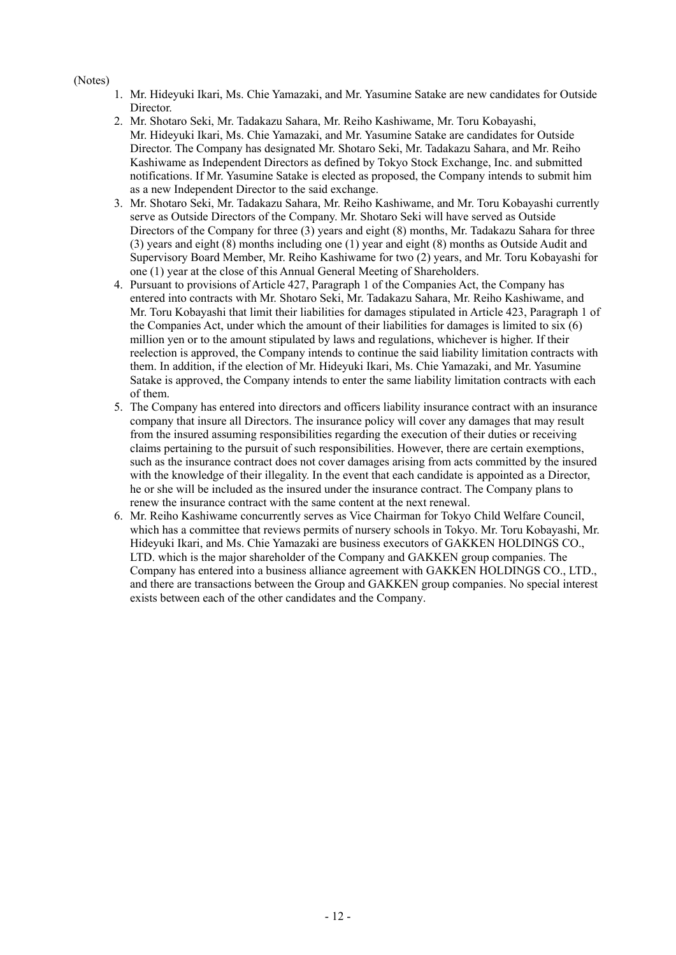### (Notes)

- 1. Mr. Hideyuki Ikari, Ms. Chie Yamazaki, and Mr. Yasumine Satake are new candidates for Outside Director.
- 2. Mr. Shotaro Seki, Mr. Tadakazu Sahara, Mr. Reiho Kashiwame, Mr. Toru Kobayashi, Mr. Hideyuki Ikari, Ms. Chie Yamazaki, and Mr. Yasumine Satake are candidates for Outside Director. The Company has designated Mr. Shotaro Seki, Mr. Tadakazu Sahara, and Mr. Reiho Kashiwame as Independent Directors as defined by Tokyo Stock Exchange, Inc. and submitted notifications. If Mr. Yasumine Satake is elected as proposed, the Company intends to submit him as a new Independent Director to the said exchange.
- 3. Mr. Shotaro Seki, Mr. Tadakazu Sahara, Mr. Reiho Kashiwame, and Mr. Toru Kobayashi currently serve as Outside Directors of the Company. Mr. Shotaro Seki will have served as Outside Directors of the Company for three (3) years and eight (8) months, Mr. Tadakazu Sahara for three (3) years and eight (8) months including one (1) year and eight (8) months as Outside Audit and Supervisory Board Member, Mr. Reiho Kashiwame for two (2) years, and Mr. Toru Kobayashi for one (1) year at the close of this Annual General Meeting of Shareholders.
- 4. Pursuant to provisions of Article 427, Paragraph 1 of the Companies Act, the Company has entered into contracts with Mr. Shotaro Seki, Mr. Tadakazu Sahara, Mr. Reiho Kashiwame, and Mr. Toru Kobayashi that limit their liabilities for damages stipulated in Article 423, Paragraph 1 of the Companies Act, under which the amount of their liabilities for damages is limited to six (6) million yen or to the amount stipulated by laws and regulations, whichever is higher. If their reelection is approved, the Company intends to continue the said liability limitation contracts with them. In addition, if the election of Mr. Hideyuki Ikari, Ms. Chie Yamazaki, and Mr. Yasumine Satake is approved, the Company intends to enter the same liability limitation contracts with each of them.
- 5. The Company has entered into directors and officers liability insurance contract with an insurance company that insure all Directors. The insurance policy will cover any damages that may result from the insured assuming responsibilities regarding the execution of their duties or receiving claims pertaining to the pursuit of such responsibilities. However, there are certain exemptions, such as the insurance contract does not cover damages arising from acts committed by the insured with the knowledge of their illegality. In the event that each candidate is appointed as a Director, he or she will be included as the insured under the insurance contract. The Company plans to renew the insurance contract with the same content at the next renewal.
- 6. Mr. Reiho Kashiwame concurrently serves as Vice Chairman for Tokyo Child Welfare Council, which has a committee that reviews permits of nursery schools in Tokyo. Mr. Toru Kobayashi, Mr. Hideyuki Ikari, and Ms. Chie Yamazaki are business executors of GAKKEN HOLDINGS CO., LTD. which is the major shareholder of the Company and GAKKEN group companies. The Company has entered into a business alliance agreement with GAKKEN HOLDINGS CO., LTD., and there are transactions between the Group and GAKKEN group companies. No special interest exists between each of the other candidates and the Company.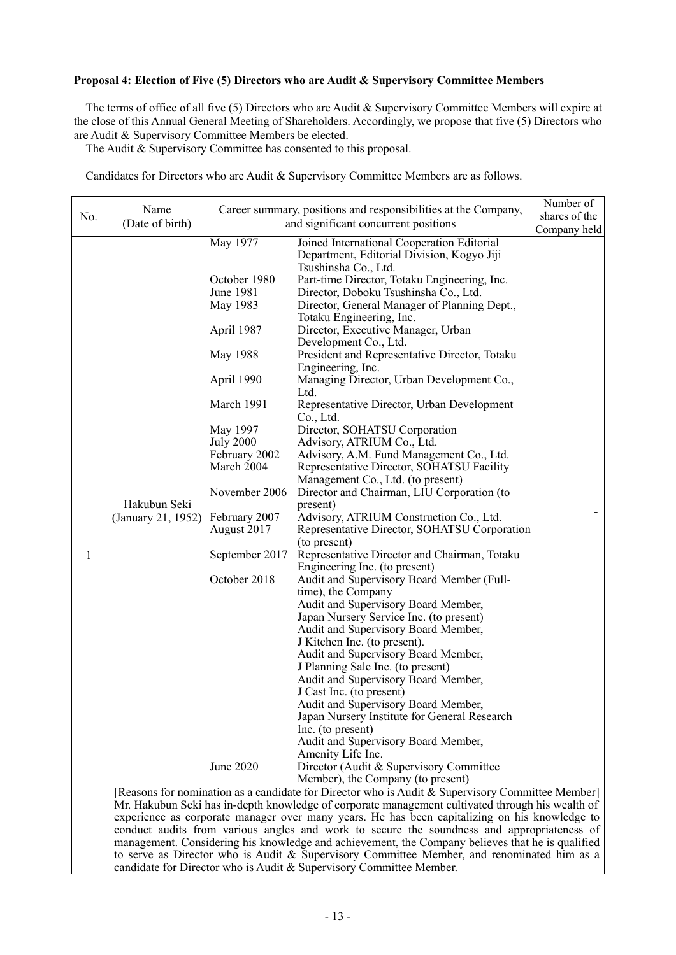### **Proposal 4: Election of Five (5) Directors who are Audit & Supervisory Committee Members**

The terms of office of all five (5) Directors who are Audit & Supervisory Committee Members will expire at the close of this Annual General Meeting of Shareholders. Accordingly, we propose that five (5) Directors who are Audit & Supervisory Committee Members be elected.

The Audit & Supervisory Committee has consented to this proposal.

Candidates for Directors who are Audit & Supervisory Committee Members are as follows.

| No. | Name                                                                                             |                                                                                                                                                                                                                                                                        | Career summary, positions and responsibilities at the Company,                                                                                                                                                                                                                                                                                                                                                                                                                                                                                                                                                                                                                                                                                                                                                                                                                                                                                                                                                                                                                                                                                                                                                                                                                                                                                                                                                                                                                                                                                                                                                                                                           | Number of<br>shares of the |
|-----|--------------------------------------------------------------------------------------------------|------------------------------------------------------------------------------------------------------------------------------------------------------------------------------------------------------------------------------------------------------------------------|--------------------------------------------------------------------------------------------------------------------------------------------------------------------------------------------------------------------------------------------------------------------------------------------------------------------------------------------------------------------------------------------------------------------------------------------------------------------------------------------------------------------------------------------------------------------------------------------------------------------------------------------------------------------------------------------------------------------------------------------------------------------------------------------------------------------------------------------------------------------------------------------------------------------------------------------------------------------------------------------------------------------------------------------------------------------------------------------------------------------------------------------------------------------------------------------------------------------------------------------------------------------------------------------------------------------------------------------------------------------------------------------------------------------------------------------------------------------------------------------------------------------------------------------------------------------------------------------------------------------------------------------------------------------------|----------------------------|
|     |                                                                                                  |                                                                                                                                                                                                                                                                        |                                                                                                                                                                                                                                                                                                                                                                                                                                                                                                                                                                                                                                                                                                                                                                                                                                                                                                                                                                                                                                                                                                                                                                                                                                                                                                                                                                                                                                                                                                                                                                                                                                                                          | Company held               |
| 1   | (Date of birth)<br>Hakubun Seki<br>(January 21, 1952)                                            | May 1977<br>October 1980<br>June 1981<br>May 1983<br>April 1987<br>May 1988<br>April 1990<br>March 1991<br>May 1997<br><b>July 2000</b><br>February 2002<br>March 2004<br>November 2006<br>February 2007<br>August 2017<br>September 2017<br>October 2018<br>June 2020 | and significant concurrent positions<br>Joined International Cooperation Editorial<br>Department, Editorial Division, Kogyo Jiji<br>Tsushinsha Co., Ltd.<br>Part-time Director, Totaku Engineering, Inc.<br>Director, Doboku Tsushinsha Co., Ltd.<br>Director, General Manager of Planning Dept.,<br>Totaku Engineering, Inc.<br>Director, Executive Manager, Urban<br>Development Co., Ltd.<br>President and Representative Director, Totaku<br>Engineering, Inc.<br>Managing Director, Urban Development Co.,<br>Ltd.<br>Representative Director, Urban Development<br>Co., Ltd.<br>Director, SOHATSU Corporation<br>Advisory, ATRIUM Co., Ltd.<br>Advisory, A.M. Fund Management Co., Ltd.<br>Representative Director, SOHATSU Facility<br>Management Co., Ltd. (to present)<br>Director and Chairman, LIU Corporation (to<br>present)<br>Advisory, ATRIUM Construction Co., Ltd.<br>Representative Director, SOHATSU Corporation<br>(to present)<br>Representative Director and Chairman, Totaku<br>Engineering Inc. (to present)<br>Audit and Supervisory Board Member (Full-<br>time), the Company<br>Audit and Supervisory Board Member,<br>Japan Nursery Service Inc. (to present)<br>Audit and Supervisory Board Member,<br>J Kitchen Inc. (to present).<br>Audit and Supervisory Board Member,<br>J Planning Sale Inc. (to present)<br>Audit and Supervisory Board Member,<br>J Cast Inc. (to present)<br>Audit and Supervisory Board Member,<br>Japan Nursery Institute for General Research<br>Inc. (to present)<br>Audit and Supervisory Board Member,<br>Amenity Life Inc.<br>Director (Audit & Supervisory Committee<br>Member), the Company (to present) |                            |
|     |                                                                                                  |                                                                                                                                                                                                                                                                        | [Reasons for nomination as a candidate for Director who is Audit & Supervisory Committee Member]                                                                                                                                                                                                                                                                                                                                                                                                                                                                                                                                                                                                                                                                                                                                                                                                                                                                                                                                                                                                                                                                                                                                                                                                                                                                                                                                                                                                                                                                                                                                                                         |                            |
|     |                                                                                                  |                                                                                                                                                                                                                                                                        | Mr. Hakubun Seki has in-depth knowledge of corporate management cultivated through his wealth of                                                                                                                                                                                                                                                                                                                                                                                                                                                                                                                                                                                                                                                                                                                                                                                                                                                                                                                                                                                                                                                                                                                                                                                                                                                                                                                                                                                                                                                                                                                                                                         |                            |
|     |                                                                                                  |                                                                                                                                                                                                                                                                        | experience as corporate manager over many years. He has been capitalizing on his knowledge to                                                                                                                                                                                                                                                                                                                                                                                                                                                                                                                                                                                                                                                                                                                                                                                                                                                                                                                                                                                                                                                                                                                                                                                                                                                                                                                                                                                                                                                                                                                                                                            |                            |
|     |                                                                                                  |                                                                                                                                                                                                                                                                        | conduct audits from various angles and work to secure the soundness and appropriateness of                                                                                                                                                                                                                                                                                                                                                                                                                                                                                                                                                                                                                                                                                                                                                                                                                                                                                                                                                                                                                                                                                                                                                                                                                                                                                                                                                                                                                                                                                                                                                                               |                            |
|     | management. Considering his knowledge and achievement, the Company believes that he is qualified |                                                                                                                                                                                                                                                                        |                                                                                                                                                                                                                                                                                                                                                                                                                                                                                                                                                                                                                                                                                                                                                                                                                                                                                                                                                                                                                                                                                                                                                                                                                                                                                                                                                                                                                                                                                                                                                                                                                                                                          |                            |

candidate for Director who is Audit & Supervisory Committee Member.

to serve as Director who is Audit & Supervisory Committee Member, and renominated him as a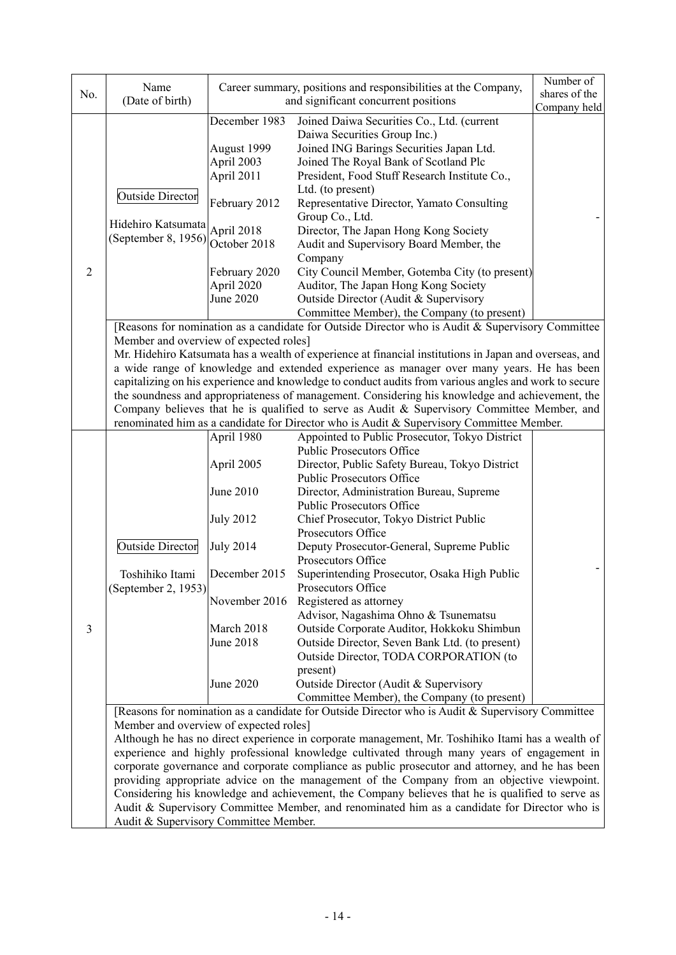| No.            | Name                                                                                                                                       |                  | Career summary, positions and responsibilities at the Company,                                         | Number of<br>shares of the |  |
|----------------|--------------------------------------------------------------------------------------------------------------------------------------------|------------------|--------------------------------------------------------------------------------------------------------|----------------------------|--|
|                | (Date of birth)                                                                                                                            |                  | and significant concurrent positions                                                                   | Company held               |  |
|                |                                                                                                                                            | December 1983    | Joined Daiwa Securities Co., Ltd. (current                                                             |                            |  |
|                |                                                                                                                                            |                  | Daiwa Securities Group Inc.)                                                                           |                            |  |
|                |                                                                                                                                            | August 1999      | Joined ING Barings Securities Japan Ltd.                                                               |                            |  |
|                |                                                                                                                                            | April 2003       | Joined The Royal Bank of Scotland Plc                                                                  |                            |  |
|                | <b>Outside Director</b>                                                                                                                    | April 2011       | President, Food Stuff Research Institute Co.,                                                          |                            |  |
|                |                                                                                                                                            |                  | Ltd. (to present)                                                                                      |                            |  |
|                |                                                                                                                                            | February 2012    | Representative Director, Yamato Consulting                                                             |                            |  |
|                | Hidehiro Katsumata                                                                                                                         | April 2018       | Group Co., Ltd.<br>Director, The Japan Hong Kong Society                                               |                            |  |
|                | (September 8, 1956)                                                                                                                        | October 2018     | Audit and Supervisory Board Member, the                                                                |                            |  |
|                |                                                                                                                                            |                  | Company                                                                                                |                            |  |
| $\overline{2}$ |                                                                                                                                            | February 2020    | City Council Member, Gotemba City (to present)                                                         |                            |  |
|                |                                                                                                                                            | April 2020       | Auditor, The Japan Hong Kong Society                                                                   |                            |  |
|                |                                                                                                                                            | June 2020        | Outside Director (Audit & Supervisory                                                                  |                            |  |
|                |                                                                                                                                            |                  | Committee Member), the Company (to present)                                                            |                            |  |
|                |                                                                                                                                            |                  | [Reasons for nomination as a candidate for Outside Director who is Audit & Supervisory Committee       |                            |  |
|                | Member and overview of expected roles]                                                                                                     |                  | Mr. Hidehiro Katsumata has a wealth of experience at financial institutions in Japan and overseas, and |                            |  |
|                |                                                                                                                                            |                  | a wide range of knowledge and extended experience as manager over many years. He has been              |                            |  |
|                |                                                                                                                                            |                  | capitalizing on his experience and knowledge to conduct audits from various angles and work to secure  |                            |  |
|                |                                                                                                                                            |                  | the soundness and appropriateness of management. Considering his knowledge and achievement, the        |                            |  |
|                |                                                                                                                                            |                  | Company believes that he is qualified to serve as Audit & Supervisory Committee Member, and            |                            |  |
|                |                                                                                                                                            |                  | renominated him as a candidate for Director who is Audit & Supervisory Committee Member.               |                            |  |
|                |                                                                                                                                            | April 1980       | Appointed to Public Prosecutor, Tokyo District                                                         |                            |  |
|                |                                                                                                                                            |                  | <b>Public Prosecutors Office</b>                                                                       |                            |  |
|                |                                                                                                                                            | April 2005       | Director, Public Safety Bureau, Tokyo District<br><b>Public Prosecutors Office</b>                     |                            |  |
|                |                                                                                                                                            | June 2010        | Director, Administration Bureau, Supreme                                                               |                            |  |
|                |                                                                                                                                            |                  | <b>Public Prosecutors Office</b>                                                                       |                            |  |
|                |                                                                                                                                            | <b>July 2012</b> | Chief Prosecutor, Tokyo District Public                                                                |                            |  |
|                |                                                                                                                                            |                  | Prosecutors Office                                                                                     |                            |  |
|                | <b>Outside Director</b>                                                                                                                    | <b>July 2014</b> | Deputy Prosecutor-General, Supreme Public                                                              |                            |  |
|                | Toshihiko Itami                                                                                                                            | December 2015    | Prosecutors Office<br>Superintending Prosecutor, Osaka High Public                                     |                            |  |
|                | (September 2, 1953)                                                                                                                        |                  | Prosecutors Office                                                                                     |                            |  |
|                |                                                                                                                                            | November 2016    | Registered as attorney                                                                                 |                            |  |
|                |                                                                                                                                            |                  | Advisor, Nagashima Ohno & Tsunematsu                                                                   |                            |  |
| 3              |                                                                                                                                            | March 2018       | Outside Corporate Auditor, Hokkoku Shimbun                                                             |                            |  |
|                |                                                                                                                                            | June 2018        | Outside Director, Seven Bank Ltd. (to present)                                                         |                            |  |
|                |                                                                                                                                            |                  | Outside Director, TODA CORPORATION (to                                                                 |                            |  |
|                |                                                                                                                                            |                  | present)                                                                                               |                            |  |
|                |                                                                                                                                            | June 2020        | Outside Director (Audit & Supervisory<br>Committee Member), the Company (to present)                   |                            |  |
|                |                                                                                                                                            |                  |                                                                                                        |                            |  |
|                | [Reasons for nomination as a candidate for Outside Director who is Audit & Supervisory Committee<br>Member and overview of expected roles] |                  |                                                                                                        |                            |  |
|                | Although he has no direct experience in corporate management, Mr. Toshihiko Itami has a wealth of                                          |                  |                                                                                                        |                            |  |
|                |                                                                                                                                            |                  | experience and highly professional knowledge cultivated through many years of engagement in            |                            |  |
|                |                                                                                                                                            |                  | corporate governance and corporate compliance as public prosecutor and attorney, and he has been       |                            |  |
|                |                                                                                                                                            |                  | providing appropriate advice on the management of the Company from an objective viewpoint.             |                            |  |
|                |                                                                                                                                            |                  | Considering his knowledge and achievement, the Company believes that he is qualified to serve as       |                            |  |
|                |                                                                                                                                            |                  | Audit & Supervisory Committee Member, and renominated him as a candidate for Director who is           |                            |  |
|                | Audit & Supervisory Committee Member.                                                                                                      |                  |                                                                                                        |                            |  |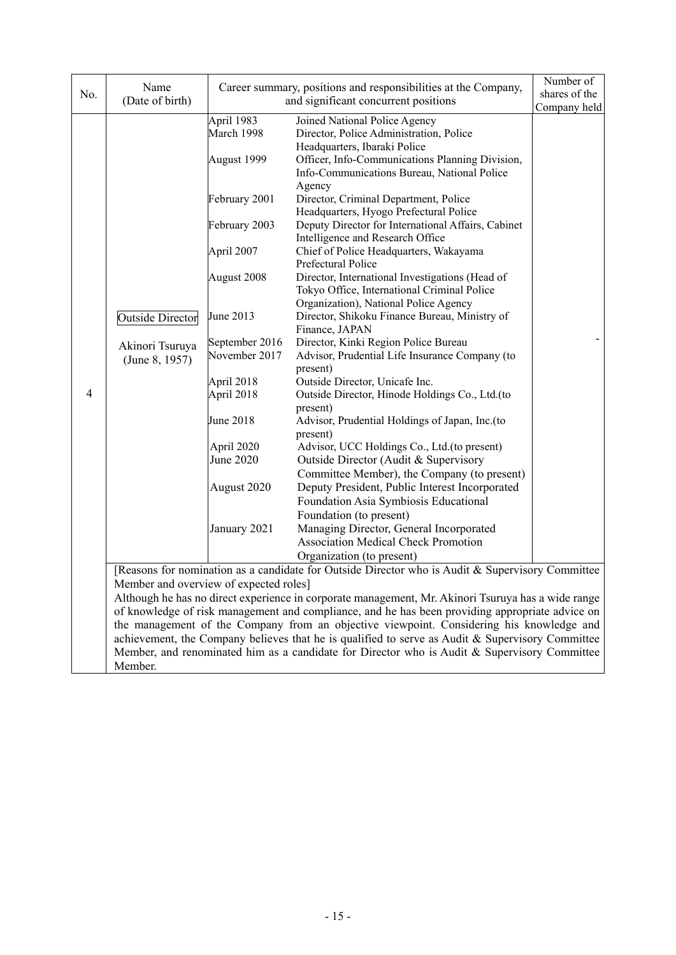|     | Name                                   |                | Career summary, positions and responsibilities at the Company,                                     | Number of     |
|-----|----------------------------------------|----------------|----------------------------------------------------------------------------------------------------|---------------|
| No. | (Date of birth)                        |                | and significant concurrent positions                                                               | shares of the |
|     |                                        | April 1983     | Joined National Police Agency                                                                      | Company held  |
|     |                                        | March 1998     | Director, Police Administration, Police                                                            |               |
|     |                                        |                | Headquarters, Ibaraki Police                                                                       |               |
|     |                                        | August 1999    | Officer, Info-Communications Planning Division,                                                    |               |
|     |                                        |                | Info-Communications Bureau, National Police                                                        |               |
|     |                                        |                | Agency                                                                                             |               |
|     |                                        | February 2001  | Director, Criminal Department, Police                                                              |               |
|     |                                        |                | Headquarters, Hyogo Prefectural Police                                                             |               |
|     |                                        | February 2003  | Deputy Director for International Affairs, Cabinet                                                 |               |
|     |                                        |                | Intelligence and Research Office                                                                   |               |
|     |                                        | April 2007     | Chief of Police Headquarters, Wakayama<br>Prefectural Police                                       |               |
|     |                                        | August 2008    | Director, International Investigations (Head of                                                    |               |
|     |                                        |                | Tokyo Office, International Criminal Police                                                        |               |
|     |                                        |                | Organization), National Police Agency                                                              |               |
|     | <b>Outside Director</b>                | June 2013      | Director, Shikoku Finance Bureau, Ministry of                                                      |               |
|     |                                        |                | Finance, JAPAN                                                                                     |               |
|     | Akinori Tsuruya                        | September 2016 | Director, Kinki Region Police Bureau                                                               |               |
|     | (June 8, 1957)                         | November 2017  | Advisor, Prudential Life Insurance Company (to                                                     |               |
|     |                                        |                | present)                                                                                           |               |
|     |                                        | April 2018     | Outside Director, Unicafe Inc.                                                                     |               |
| 4   |                                        | April 2018     | Outside Director, Hinode Holdings Co., Ltd.(to<br>present)                                         |               |
|     |                                        | June 2018      | Advisor, Prudential Holdings of Japan, Inc.(to                                                     |               |
|     |                                        |                | present)                                                                                           |               |
|     |                                        | April 2020     | Advisor, UCC Holdings Co., Ltd.(to present)                                                        |               |
|     |                                        | June 2020      | Outside Director (Audit & Supervisory                                                              |               |
|     |                                        |                | Committee Member), the Company (to present)                                                        |               |
|     |                                        | August 2020    | Deputy President, Public Interest Incorporated                                                     |               |
|     |                                        |                | Foundation Asia Symbiosis Educational                                                              |               |
|     |                                        |                | Foundation (to present)                                                                            |               |
|     |                                        | January 2021   | Managing Director, General Incorporated                                                            |               |
|     |                                        |                | <b>Association Medical Check Promotion</b>                                                         |               |
|     |                                        |                | Organization (to present)                                                                          |               |
|     | Member and overview of expected roles] |                | [Reasons for nomination as a candidate for Outside Director who is Audit & Supervisory Committee   |               |
|     |                                        |                | Although he has no direct experience in corporate management, Mr. Akinori Tsuruya has a wide range |               |
|     |                                        |                | of knowledge of risk management and compliance, and he has been providing appropriate advice on    |               |
|     |                                        |                | the management of the Company from an objective viewpoint. Considering his knowledge and           |               |
|     |                                        |                | achievement, the Company believes that he is qualified to serve as Audit & Supervisory Committee   |               |
|     |                                        |                | Member, and renominated him as a candidate for Director who is Audit & Supervisory Committee       |               |

Member.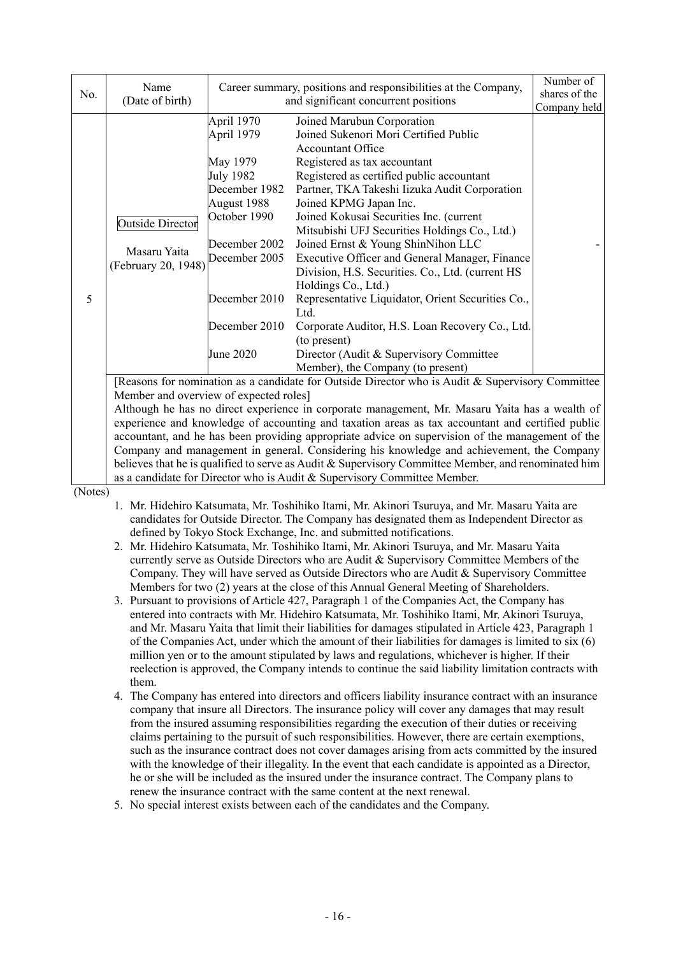| No. | Name<br>(Date of birth)                                                                           | Career summary, positions and responsibilities at the Company,<br>and significant concurrent positions                                                                             |                                                                                                                                                                                                                                                                                                                                                                                                                                                                                                                                                                                                                                                                                                                                                                                                                                                                                                                                               | Number of<br>shares of the<br>Company held |
|-----|---------------------------------------------------------------------------------------------------|------------------------------------------------------------------------------------------------------------------------------------------------------------------------------------|-----------------------------------------------------------------------------------------------------------------------------------------------------------------------------------------------------------------------------------------------------------------------------------------------------------------------------------------------------------------------------------------------------------------------------------------------------------------------------------------------------------------------------------------------------------------------------------------------------------------------------------------------------------------------------------------------------------------------------------------------------------------------------------------------------------------------------------------------------------------------------------------------------------------------------------------------|--------------------------------------------|
| 5   | Outside Director<br>Masaru Yaita<br>(February 20, 1948)<br>Member and overview of expected roles] | April 1970<br>April 1979<br>May 1979<br>July 1982<br>December 1982<br>August 1988<br>October 1990<br>December 2002<br>December 2005<br>December 2010<br>December 2010<br>June 2020 | Joined Marubun Corporation<br>Joined Sukenori Mori Certified Public<br><b>Accountant Office</b><br>Registered as tax accountant<br>Registered as certified public accountant<br>Partner, TKA Takeshi Iizuka Audit Corporation<br>Joined KPMG Japan Inc.<br>Joined Kokusai Securities Inc. (current<br>Mitsubishi UFJ Securities Holdings Co., Ltd.)<br>Joined Ernst & Young ShinNihon LLC<br>Executive Officer and General Manager, Finance<br>Division, H.S. Securities. Co., Ltd. (current HS<br>Holdings Co., Ltd.)<br>Representative Liquidator, Orient Securities Co.,<br>Ltd.<br>Corporate Auditor, H.S. Loan Recovery Co., Ltd.<br>(to present)<br>Director (Audit & Supervisory Committee)<br>Member), the Company (to present)<br>[Reasons for nomination as a candidate for Outside Director who is Audit & Supervisory Committee<br>Although he has no direct experience in corporate management, Mr. Masaru Yaita has a wealth of |                                            |

experience and knowledge of accounting and taxation areas as tax accountant and certified public accountant, and he has been providing appropriate advice on supervision of the management of the Company and management in general. Considering his knowledge and achievement, the Company believes that he is qualified to serve as Audit & Supervisory Committee Member, and renominated him as a candidate for Director who is Audit & Supervisory Committee Member.

(Notes)

1. Mr. Hidehiro Katsumata, Mr. Toshihiko Itami, Mr. Akinori Tsuruya, and Mr. Masaru Yaita are candidates for Outside Director. The Company has designated them as Independent Director as defined by Tokyo Stock Exchange, Inc. and submitted notifications.

- 2. Mr. Hidehiro Katsumata, Mr. Toshihiko Itami, Mr. Akinori Tsuruya, and Mr. Masaru Yaita currently serve as Outside Directors who are Audit & Supervisory Committee Members of the Company. They will have served as Outside Directors who are Audit & Supervisory Committee Members for two (2) years at the close of this Annual General Meeting of Shareholders.
- 3. Pursuant to provisions of Article 427, Paragraph 1 of the Companies Act, the Company has entered into contracts with Mr. Hidehiro Katsumata, Mr. Toshihiko Itami, Mr. Akinori Tsuruya, and Mr. Masaru Yaita that limit their liabilities for damages stipulated in Article 423, Paragraph 1 of the Companies Act, under which the amount of their liabilities for damages is limited to six (6) million yen or to the amount stipulated by laws and regulations, whichever is higher. If their reelection is approved, the Company intends to continue the said liability limitation contracts with them.
- 4. The Company has entered into directors and officers liability insurance contract with an insurance company that insure all Directors. The insurance policy will cover any damages that may result from the insured assuming responsibilities regarding the execution of their duties or receiving claims pertaining to the pursuit of such responsibilities. However, there are certain exemptions, such as the insurance contract does not cover damages arising from acts committed by the insured with the knowledge of their illegality. In the event that each candidate is appointed as a Director, he or she will be included as the insured under the insurance contract. The Company plans to renew the insurance contract with the same content at the next renewal.
- 5. No special interest exists between each of the candidates and the Company.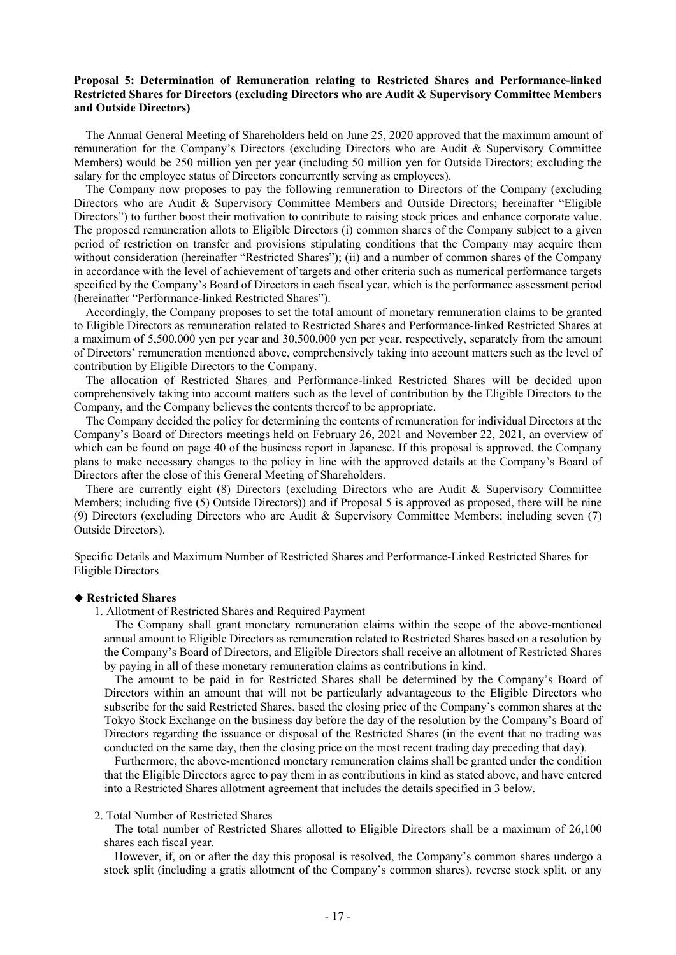### **Proposal 5: Determination of Remuneration relating to Restricted Shares and Performance-linked Restricted Shares for Directors (excluding Directors who are Audit & Supervisory Committee Members and Outside Directors)**

The Annual General Meeting of Shareholders held on June 25, 2020 approved that the maximum amount of remuneration for the Company's Directors (excluding Directors who are Audit & Supervisory Committee Members) would be 250 million yen per year (including 50 million yen for Outside Directors; excluding the salary for the employee status of Directors concurrently serving as employees).

The Company now proposes to pay the following remuneration to Directors of the Company (excluding Directors who are Audit & Supervisory Committee Members and Outside Directors; hereinafter "Eligible Directors") to further boost their motivation to contribute to raising stock prices and enhance corporate value. The proposed remuneration allots to Eligible Directors (i) common shares of the Company subject to a given period of restriction on transfer and provisions stipulating conditions that the Company may acquire them without consideration (hereinafter "Restricted Shares"); (ii) and a number of common shares of the Company in accordance with the level of achievement of targets and other criteria such as numerical performance targets specified by the Company's Board of Directors in each fiscal year, which is the performance assessment period (hereinafter "Performance-linked Restricted Shares").

Accordingly, the Company proposes to set the total amount of monetary remuneration claims to be granted to Eligible Directors as remuneration related to Restricted Shares and Performance-linked Restricted Shares at a maximum of 5,500,000 yen per year and 30,500,000 yen per year, respectively, separately from the amount of Directors' remuneration mentioned above, comprehensively taking into account matters such as the level of contribution by Eligible Directors to the Company.

The allocation of Restricted Shares and Performance-linked Restricted Shares will be decided upon comprehensively taking into account matters such as the level of contribution by the Eligible Directors to the Company, and the Company believes the contents thereof to be appropriate.

The Company decided the policy for determining the contents of remuneration for individual Directors at the Company's Board of Directors meetings held on February 26, 2021 and November 22, 2021, an overview of which can be found on page 40 of the business report in Japanese. If this proposal is approved, the Company plans to make necessary changes to the policy in line with the approved details at the Company's Board of Directors after the close of this General Meeting of Shareholders.

There are currently eight (8) Directors (excluding Directors who are Audit & Supervisory Committee Members; including five (5) Outside Directors)) and if Proposal 5 is approved as proposed, there will be nine (9) Directors (excluding Directors who are Audit & Supervisory Committee Members; including seven (7) Outside Directors).

Specific Details and Maximum Number of Restricted Shares and Performance-Linked Restricted Shares for Eligible Directors

#### ◆ **Restricted Shares**

1. Allotment of Restricted Shares and Required Payment

The Company shall grant monetary remuneration claims within the scope of the above-mentioned annual amount to Eligible Directors as remuneration related to Restricted Shares based on a resolution by the Company's Board of Directors, and Eligible Directors shall receive an allotment of Restricted Shares by paying in all of these monetary remuneration claims as contributions in kind.

The amount to be paid in for Restricted Shares shall be determined by the Company's Board of Directors within an amount that will not be particularly advantageous to the Eligible Directors who subscribe for the said Restricted Shares, based the closing price of the Company's common shares at the Tokyo Stock Exchange on the business day before the day of the resolution by the Company's Board of Directors regarding the issuance or disposal of the Restricted Shares (in the event that no trading was conducted on the same day, then the closing price on the most recent trading day preceding that day).

Furthermore, the above-mentioned monetary remuneration claims shall be granted under the condition that the Eligible Directors agree to pay them in as contributions in kind as stated above, and have entered into a Restricted Shares allotment agreement that includes the details specified in 3 below.

#### 2. Total Number of Restricted Shares

The total number of Restricted Shares allotted to Eligible Directors shall be a maximum of 26,100 shares each fiscal year.

However, if, on or after the day this proposal is resolved, the Company's common shares undergo a stock split (including a gratis allotment of the Company's common shares), reverse stock split, or any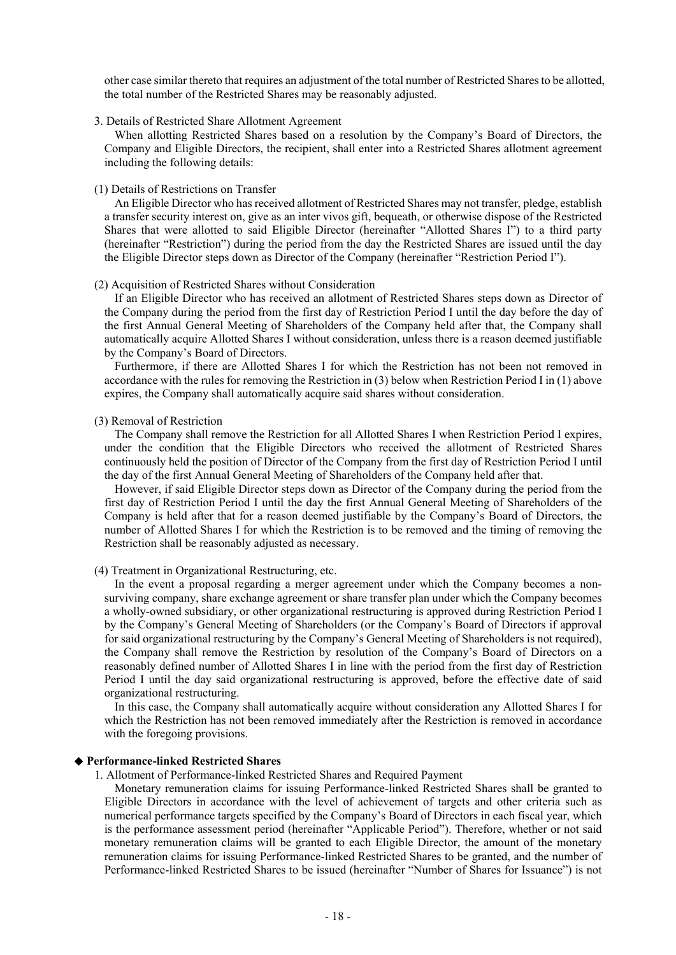other case similar thereto that requires an adjustment of the total number of Restricted Shares to be allotted, the total number of the Restricted Shares may be reasonably adjusted.

3. Details of Restricted Share Allotment Agreement

When allotting Restricted Shares based on a resolution by the Company's Board of Directors, the Company and Eligible Directors, the recipient, shall enter into a Restricted Shares allotment agreement including the following details:

(1) Details of Restrictions on Transfer

An Eligible Director who has received allotment of Restricted Shares may not transfer, pledge, establish a transfer security interest on, give as an inter vivos gift, bequeath, or otherwise dispose of the Restricted Shares that were allotted to said Eligible Director (hereinafter "Allotted Shares I") to a third party (hereinafter "Restriction") during the period from the day the Restricted Shares are issued until the day the Eligible Director steps down as Director of the Company (hereinafter "Restriction Period I").

#### (2) Acquisition of Restricted Shares without Consideration

If an Eligible Director who has received an allotment of Restricted Shares steps down as Director of the Company during the period from the first day of Restriction Period I until the day before the day of the first Annual General Meeting of Shareholders of the Company held after that, the Company shall automatically acquire Allotted Shares I without consideration, unless there is a reason deemed justifiable by the Company's Board of Directors.

Furthermore, if there are Allotted Shares I for which the Restriction has not been not removed in accordance with the rules for removing the Restriction in (3) below when Restriction Period I in (1) above expires, the Company shall automatically acquire said shares without consideration.

#### (3) Removal of Restriction

The Company shall remove the Restriction for all Allotted Shares I when Restriction Period I expires, under the condition that the Eligible Directors who received the allotment of Restricted Shares continuously held the position of Director of the Company from the first day of Restriction Period I until the day of the first Annual General Meeting of Shareholders of the Company held after that.

However, if said Eligible Director steps down as Director of the Company during the period from the first day of Restriction Period I until the day the first Annual General Meeting of Shareholders of the Company is held after that for a reason deemed justifiable by the Company's Board of Directors, the number of Allotted Shares I for which the Restriction is to be removed and the timing of removing the Restriction shall be reasonably adjusted as necessary.

(4) Treatment in Organizational Restructuring, etc.

In the event a proposal regarding a merger agreement under which the Company becomes a nonsurviving company, share exchange agreement or share transfer plan under which the Company becomes a wholly-owned subsidiary, or other organizational restructuring is approved during Restriction Period I by the Company's General Meeting of Shareholders (or the Company's Board of Directors if approval for said organizational restructuring by the Company's General Meeting of Shareholders is not required), the Company shall remove the Restriction by resolution of the Company's Board of Directors on a reasonably defined number of Allotted Shares I in line with the period from the first day of Restriction Period I until the day said organizational restructuring is approved, before the effective date of said organizational restructuring.

In this case, the Company shall automatically acquire without consideration any Allotted Shares I for which the Restriction has not been removed immediately after the Restriction is removed in accordance with the foregoing provisions.

#### ◆ **Performance-linked Restricted Shares**

1. Allotment of Performance-linked Restricted Shares and Required Payment

Monetary remuneration claims for issuing Performance-linked Restricted Shares shall be granted to Eligible Directors in accordance with the level of achievement of targets and other criteria such as numerical performance targets specified by the Company's Board of Directors in each fiscal year, which is the performance assessment period (hereinafter "Applicable Period"). Therefore, whether or not said monetary remuneration claims will be granted to each Eligible Director, the amount of the monetary remuneration claims for issuing Performance-linked Restricted Shares to be granted, and the number of Performance-linked Restricted Shares to be issued (hereinafter "Number of Shares for Issuance") is not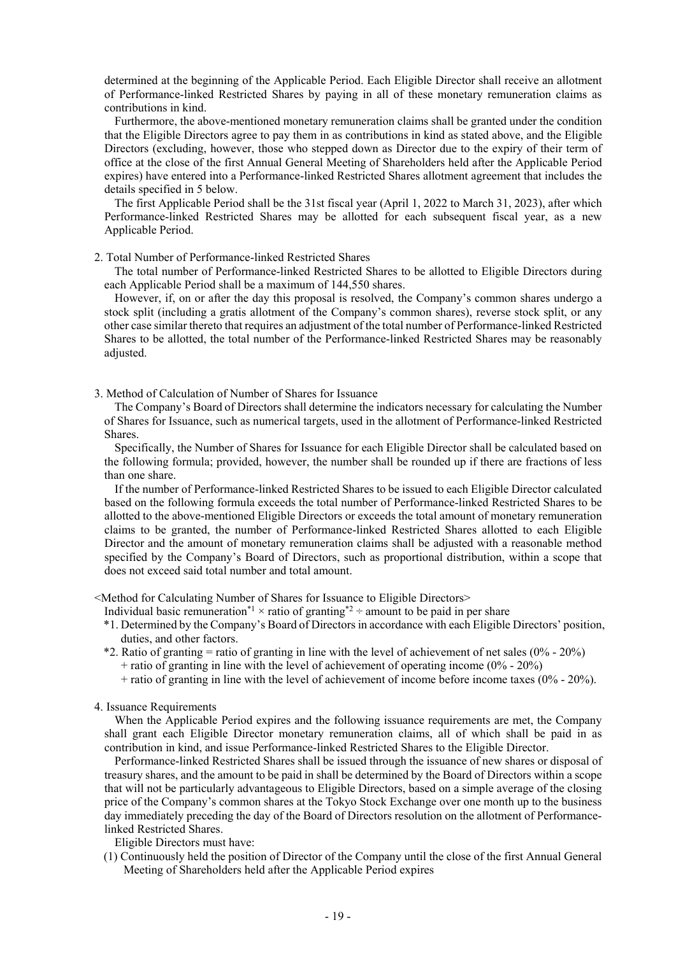determined at the beginning of the Applicable Period. Each Eligible Director shall receive an allotment of Performance-linked Restricted Shares by paying in all of these monetary remuneration claims as contributions in kind.

Furthermore, the above-mentioned monetary remuneration claims shall be granted under the condition that the Eligible Directors agree to pay them in as contributions in kind as stated above, and the Eligible Directors (excluding, however, those who stepped down as Director due to the expiry of their term of office at the close of the first Annual General Meeting of Shareholders held after the Applicable Period expires) have entered into a Performance-linked Restricted Shares allotment agreement that includes the details specified in 5 below.

The first Applicable Period shall be the 31st fiscal year (April 1, 2022 to March 31, 2023), after which Performance-linked Restricted Shares may be allotted for each subsequent fiscal year, as a new Applicable Period.

#### 2. Total Number of Performance-linked Restricted Shares

The total number of Performance-linked Restricted Shares to be allotted to Eligible Directors during each Applicable Period shall be a maximum of 144,550 shares.

However, if, on or after the day this proposal is resolved, the Company's common shares undergo a stock split (including a gratis allotment of the Company's common shares), reverse stock split, or any other case similar thereto that requires an adjustment of the total number of Performance-linked Restricted Shares to be allotted, the total number of the Performance-linked Restricted Shares may be reasonably adjusted.

3. Method of Calculation of Number of Shares for Issuance

The Company's Board of Directors shall determine the indicators necessary for calculating the Number of Shares for Issuance, such as numerical targets, used in the allotment of Performance-linked Restricted Shares.

Specifically, the Number of Shares for Issuance for each Eligible Director shall be calculated based on the following formula; provided, however, the number shall be rounded up if there are fractions of less than one share.

If the number of Performance-linked Restricted Shares to be issued to each Eligible Director calculated based on the following formula exceeds the total number of Performance-linked Restricted Shares to be allotted to the above-mentioned Eligible Directors or exceeds the total amount of monetary remuneration claims to be granted, the number of Performance-linked Restricted Shares allotted to each Eligible Director and the amount of monetary remuneration claims shall be adjusted with a reasonable method specified by the Company's Board of Directors, such as proportional distribution, within a scope that does not exceed said total number and total amount.

<Method for Calculating Number of Shares for Issuance to Eligible Directors>

- Individual basic remuneration\*<sup>1</sup> × ratio of granting\*<sup>2</sup> ÷ amount to be paid in per share
- \*1. Determined by the Company's Board of Directors in accordance with each Eligible Directors' position, duties, and other factors.
- \*2. Ratio of granting = ratio of granting in line with the level of achievement of net sales (0% 20%)  $+$  ratio of granting in line with the level of achievement of operating income (0% - 20%)
	- $+$  ratio of granting in line with the level of achievement of income before income taxes (0% 20%).

#### 4. Issuance Requirements

When the Applicable Period expires and the following issuance requirements are met, the Company shall grant each Eligible Director monetary remuneration claims, all of which shall be paid in as contribution in kind, and issue Performance-linked Restricted Shares to the Eligible Director.

Performance-linked Restricted Shares shall be issued through the issuance of new shares or disposal of treasury shares, and the amount to be paid in shall be determined by the Board of Directors within a scope that will not be particularly advantageous to Eligible Directors, based on a simple average of the closing price of the Company's common shares at the Tokyo Stock Exchange over one month up to the business day immediately preceding the day of the Board of Directors resolution on the allotment of Performancelinked Restricted Shares.

Eligible Directors must have:

(1) Continuously held the position of Director of the Company until the close of the first Annual General Meeting of Shareholders held after the Applicable Period expires